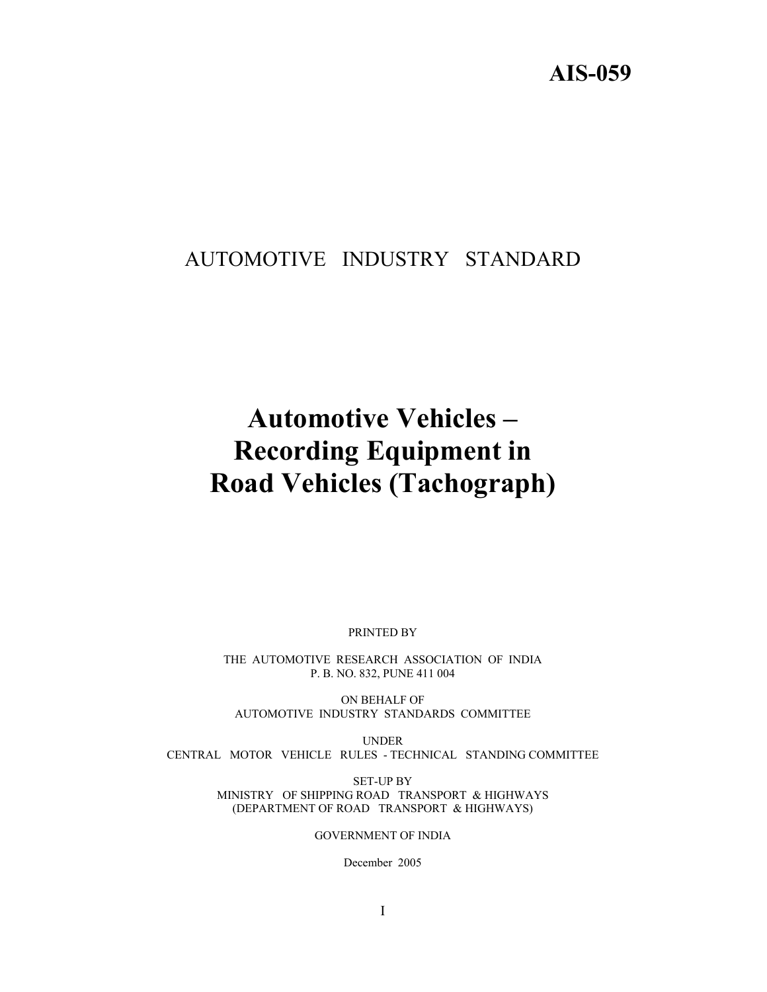# **AIS-059**

# AUTOMOTIVE INDUSTRY STANDARD

# **Automotive Vehicles – Recording Equipment in Road Vehicles (Tachograph)**

PRINTED BY

THE AUTOMOTIVE RESEARCH ASSOCIATION OF INDIA P. B. NO. 832, PUNE 411 004

ON BEHALF OF AUTOMOTIVE INDUSTRY STANDARDS COMMITTEE

UNDER CENTRAL MOTOR VEHICLE RULES - TECHNICAL STANDING COMMITTEE

> SET-UP BY MINISTRY OF SHIPPING ROAD TRANSPORT & HIGHWAYS (DEPARTMENT OF ROAD TRANSPORT & HIGHWAYS)

> > GOVERNMENT OF INDIA

December 2005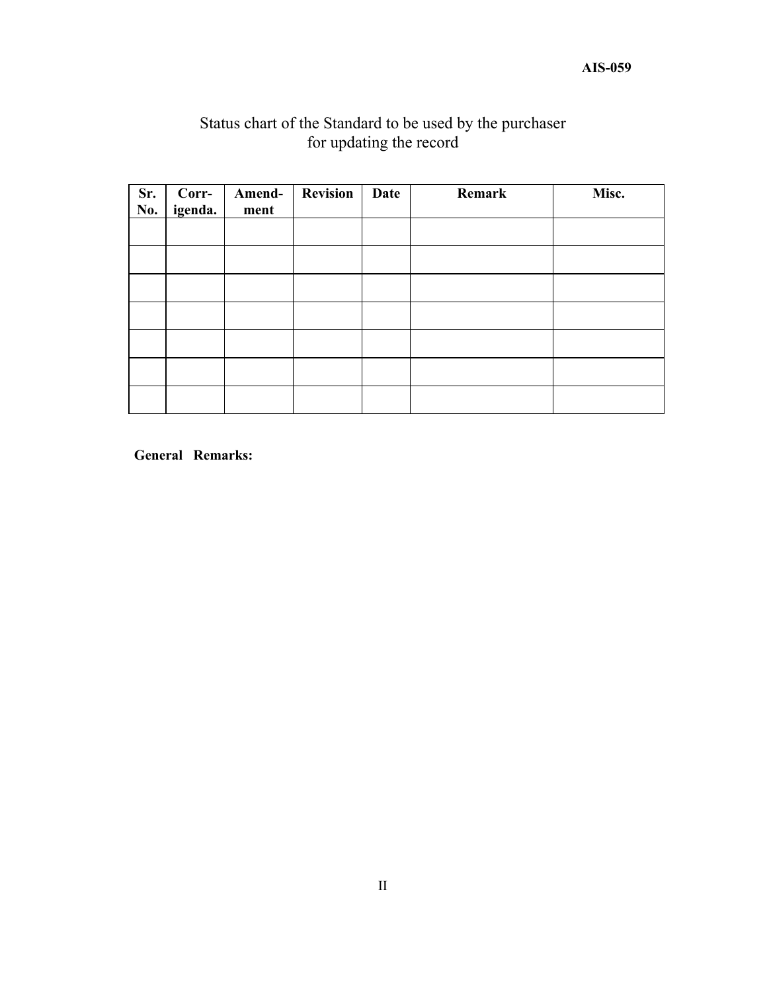# Status chart of the Standard to be used by the purchaser for updating the record

| Sr.<br>No. | Corr-<br>igenda. | Amend-<br>ment | <b>Revision</b> | Date | Remark | Misc. |
|------------|------------------|----------------|-----------------|------|--------|-------|
|            |                  |                |                 |      |        |       |
|            |                  |                |                 |      |        |       |
|            |                  |                |                 |      |        |       |
|            |                  |                |                 |      |        |       |
|            |                  |                |                 |      |        |       |
|            |                  |                |                 |      |        |       |
|            |                  |                |                 |      |        |       |

**General Remarks:**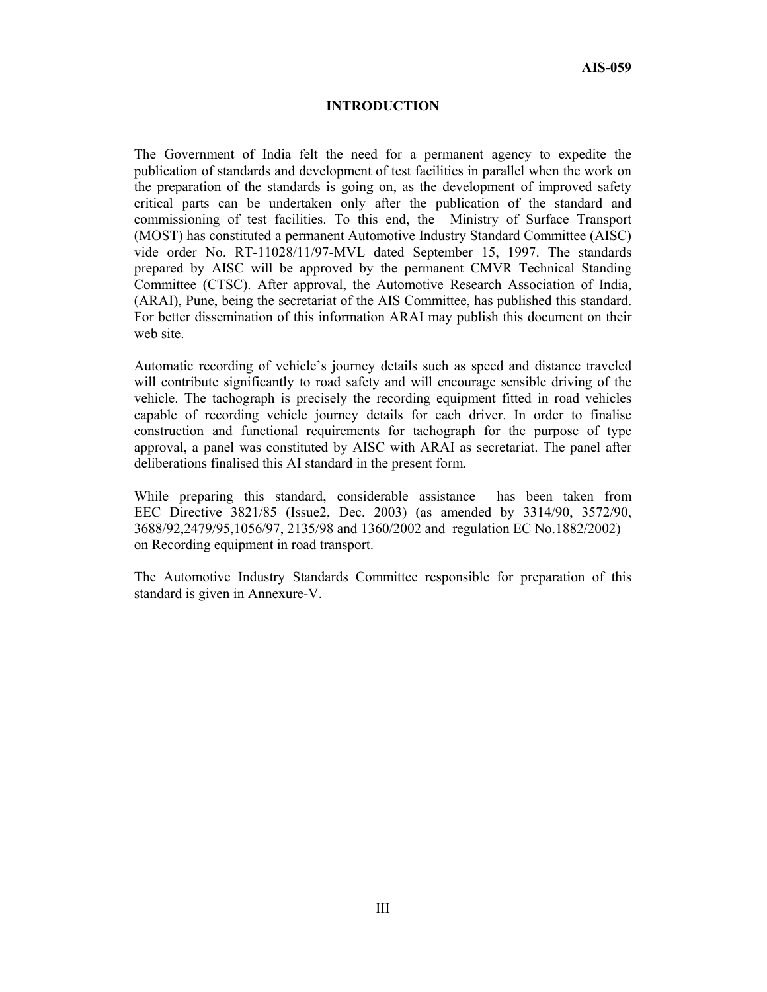#### **INTRODUCTION**

The Government of India felt the need for a permanent agency to expedite the publication of standards and development of test facilities in parallel when the work on the preparation of the standards is going on, as the development of improved safety critical parts can be undertaken only after the publication of the standard and commissioning of test facilities. To this end, the Ministry of Surface Transport (MOST) has constituted a permanent Automotive Industry Standard Committee (AISC) vide order No. RT-11028/11/97-MVL dated September 15, 1997. The standards prepared by AISC will be approved by the permanent CMVR Technical Standing Committee (CTSC). After approval, the Automotive Research Association of India, (ARAI), Pune, being the secretariat of the AIS Committee, has published this standard. For better dissemination of this information ARAI may publish this document on their web site.

Automatic recording of vehicle's journey details such as speed and distance traveled will contribute significantly to road safety and will encourage sensible driving of the vehicle. The tachograph is precisely the recording equipment fitted in road vehicles capable of recording vehicle journey details for each driver. In order to finalise construction and functional requirements for tachograph for the purpose of type approval, a panel was constituted by AISC with ARAI as secretariat. The panel after deliberations finalised this AI standard in the present form.

While preparing this standard, considerable assistance has been taken from EEC Directive 3821/85 (Issue2, Dec. 2003) (as amended by 3314/90, 3572/90, 3688/92,2479/95,1056/97, 2135/98 and 1360/2002 and regulation EC No.1882/2002) on Recording equipment in road transport.

The Automotive Industry Standards Committee responsible for preparation of this standard is given in Annexure-V.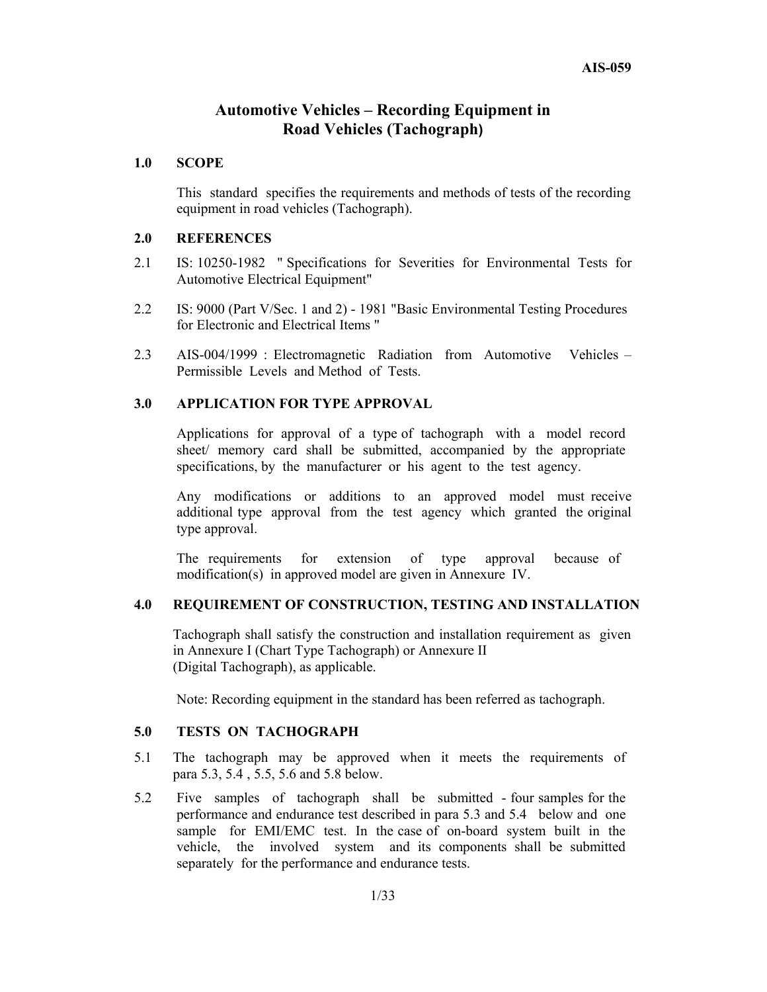# **Automotive Vehicles – Recording Equipment in Road Vehicles (Tachograph)**

#### **1.0 SCOPE**

This standard specifies the requirements and methods of tests of the recording equipment in road vehicles (Tachograph).

#### **2.0 REFERENCES**

- 2.1 IS: 10250-1982 " Specifications for Severities for Environmental Tests for Automotive Electrical Equipment"
- 2.2 IS: 9000 (Part V/Sec. 1 and 2) 1981 "Basic Environmental Testing Procedures for Electronic and Electrical Items "
- 2.3 AIS-004/1999 : Electromagnetic Radiation from Automotive Vehicles Permissible Levels and Method of Tests.

#### **3.0 APPLICATION FOR TYPE APPROVAL**

Applications for approval of a type of tachograph with a model record sheet/ memory card shall be submitted, accompanied by the appropriate specifications, by the manufacturer or his agent to the test agency.

Any modifications or additions to an approved model must receive additional type approval from the test agency which granted the original type approval.

The requirements for extension of type approval because of modification(s) in approved model are given in Annexure IV.

#### **4.0 REQUIREMENT OF CONSTRUCTION, TESTING AND INSTALLATION**

Tachograph shall satisfy the construction and installation requirement as given in Annexure I (Chart Type Tachograph) or Annexure II (Digital Tachograph), as applicable.

Note: Recording equipment in the standard has been referred as tachograph.

#### **5.0 TESTS ON TACHOGRAPH**

- 5.1 The tachograph may be approved when it meets the requirements of para 5.3, 5.4 , 5.5, 5.6 and 5.8 below.
- 5.2 Five samples of tachograph shall be submitted four samples for the performance and endurance test described in para 5.3 and 5.4 below and one sample for EMI/EMC test. In the case of on-board system built in the vehicle, the involved system and its components shall be submitted separately for the performance and endurance tests.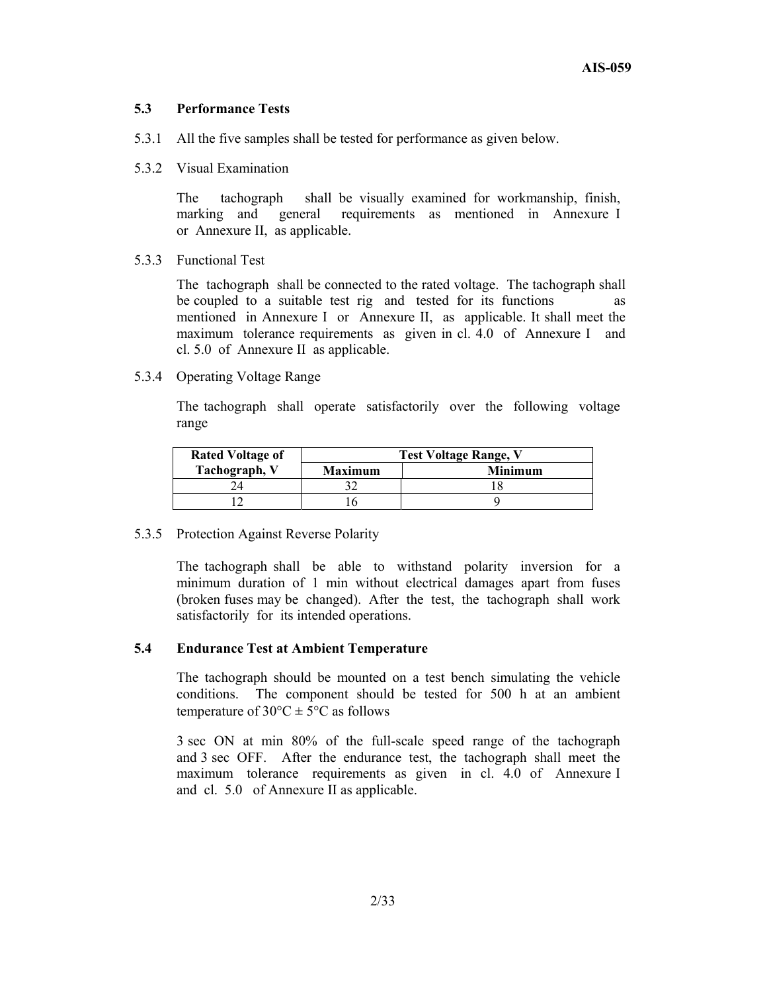#### **5.3 Performance Tests**

- 5.3.1 All the five samples shall be tested for performance as given below.
- 5.3.2 Visual Examination

 The tachograph shall be visually examined for workmanship, finish, marking and general requirements as mentioned in Annexure I or Annexure II, as applicable.

5.3.3 Functional Test

 The tachograph shall be connected to the rated voltage. The tachograph shall be coupled to a suitable test rig and tested for its functions mentioned in Annexure I or Annexure II, as applicable. It shall meet the maximum tolerance requirements as given in cl. 4.0 of Annexure I and cl. 5.0 of Annexure II as applicable.

5.3.4 Operating Voltage Range

 The tachograph shall operate satisfactorily over the following voltage range

| <b>Rated Voltage of</b> | <b>Test Voltage Range, V</b> |                |  |  |
|-------------------------|------------------------------|----------------|--|--|
| Tachograph, V           | <b>Maximum</b>               | <b>Minimum</b> |  |  |
|                         |                              |                |  |  |
|                         |                              |                |  |  |

5.3.5 Protection Against Reverse Polarity

The tachograph shall be able to withstand polarity inversion for a minimum duration of 1 min without electrical damages apart from fuses (broken fuses may be changed). After the test, the tachograph shall work satisfactorily for its intended operations.

#### **5.4 Endurance Test at Ambient Temperature**

 The tachograph should be mounted on a test bench simulating the vehicle conditions. The component should be tested for 500 h at an ambient temperature of  $30^{\circ}$ C  $\pm$  5°C as follows

 3 sec ON at min 80% of the full-scale speed range of the tachograph and 3 sec OFF. After the endurance test, the tachograph shall meet the maximum tolerance requirements as given in cl. 4.0 of Annexure I and cl. 5.0 of Annexure II as applicable.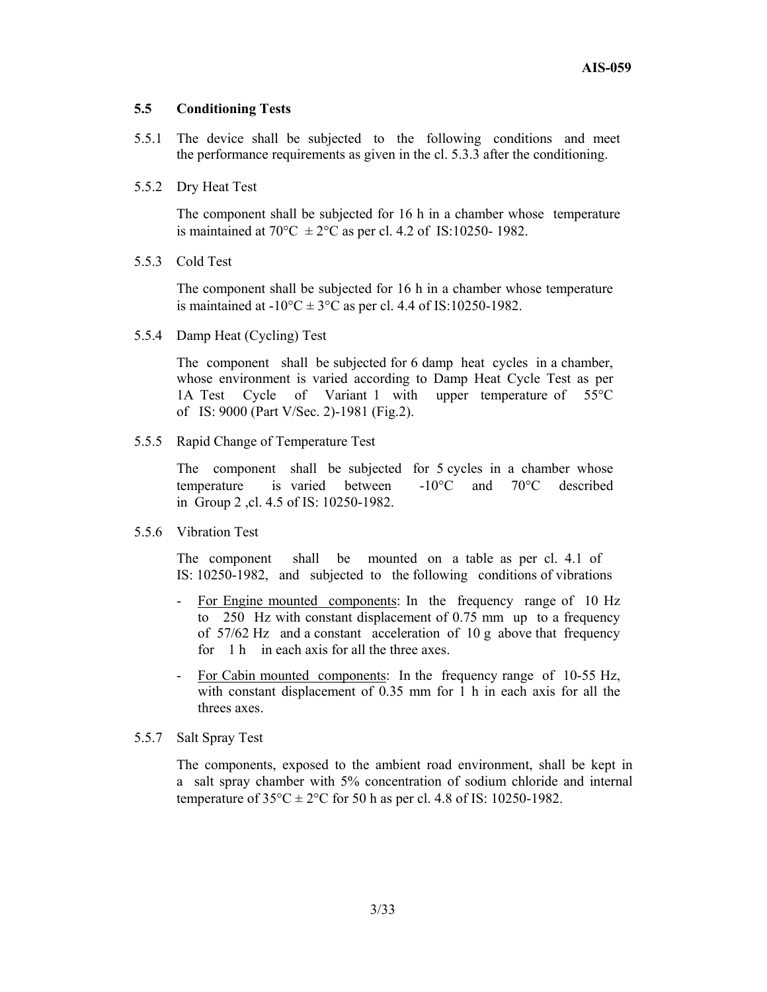#### **5.5 Conditioning Tests**

- 5.5.1 The device shall be subjected to the following conditions and meet the performance requirements as given in the cl. 5.3.3 after the conditioning.
- 5.5.2 Dry Heat Test

 The component shall be subjected for 16 h in a chamber whose temperature is maintained at 70 $^{\circ}$ C  $\pm$  2 $^{\circ}$ C as per cl. 4.2 of IS:10250-1982.

5.5.3 Cold Test

 The component shall be subjected for 16 h in a chamber whose temperature is maintained at  $-10^{\circ}$ C  $\pm$  3°C as per cl. 4.4 of IS:10250-1982.

5.5.4 Damp Heat (Cycling) Test

 The component shall be subjected for 6 damp heat cycles in a chamber, whose environment is varied according to Damp Heat Cycle Test as per 1A Test Cycle of Variant 1 with upper temperature of 55°C of IS: 9000 (Part V/Sec. 2)-1981 (Fig.2).

5.5.5 Rapid Change of Temperature Test

 The component shall be subjected for 5 cycles in a chamber whose temperature is varied between -10°C and 70°C described in Group 2 ,cl. 4.5 of IS: 10250-1982.

5.5.6 Vibration Test

 The component shall be mounted on a table as per cl. 4.1 of IS: 10250-1982, and subjected to the following conditions of vibrations

- For Engine mounted components: In the frequency range of 10 Hz to 250 Hz with constant displacement of 0.75 mm up to a frequency of 57/62 Hz and a constant acceleration of 10 g above that frequency for 1 h in each axis for all the three axes.
- For Cabin mounted components: In the frequency range of 10-55 Hz, with constant displacement of 0.35 mm for 1 h in each axis for all the threes axes.
- 5.5.7 Salt Spray Test

 The components, exposed to the ambient road environment, shall be kept in a salt spray chamber with 5% concentration of sodium chloride and internal temperature of  $35^{\circ}$ C  $\pm$  2°C for 50 h as per cl. 4.8 of IS: 10250-1982.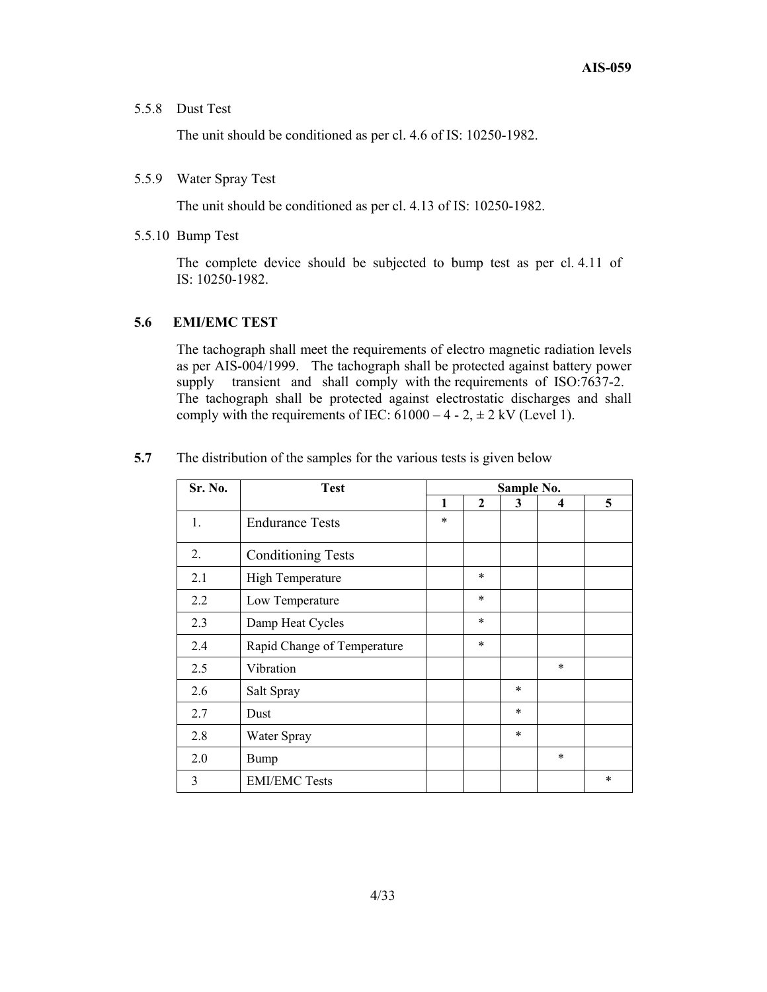#### 5.5.8 Dust Test

The unit should be conditioned as per cl. 4.6 of IS: 10250-1982.

#### 5.5.9 Water Spray Test

The unit should be conditioned as per cl. 4.13 of IS: 10250-1982.

5.5.10 Bump Test

 The complete device should be subjected to bump test as per cl. 4.11 of IS: 10250-1982.

#### **5.6 EMI/EMC TEST**

The tachograph shall meet the requirements of electro magnetic radiation levels as per AIS-004/1999. The tachograph shall be protected against battery power supply transient and shall comply with the requirements of ISO:7637-2. The tachograph shall be protected against electrostatic discharges and shall comply with the requirements of IEC:  $61000 - 4 - 2$ ,  $\pm 2$  kV (Level 1).

| Sr. No. | <b>Test</b>                 |        | Sample No.   |        |        |   |
|---------|-----------------------------|--------|--------------|--------|--------|---|
|         |                             | 1      | $\mathbf{2}$ | 3      | 4      | 5 |
| 1.      | <b>Endurance Tests</b>      | $\ast$ |              |        |        |   |
| 2.      | <b>Conditioning Tests</b>   |        |              |        |        |   |
| 2.1     | High Temperature            |        | $\ast$       |        |        |   |
| 2.2     | Low Temperature             |        | $\ast$       |        |        |   |
| 2.3     | Damp Heat Cycles            |        | $\ast$       |        |        |   |
| 2.4     | Rapid Change of Temperature |        | $\ast$       |        |        |   |
| 2.5     | Vibration                   |        |              |        | $\ast$ |   |
| 2.6     | Salt Spray                  |        |              | $\ast$ |        |   |
| 2.7     | Dust                        |        |              | *      |        |   |
| 2.8     | Water Spray                 |        |              | $\ast$ |        |   |
| 2.0     | <b>Bump</b>                 |        |              |        | $\ast$ |   |
| 3       | <b>EMI/EMC Tests</b>        |        |              |        |        | * |

**5.7** The distribution of the samples for the various tests is given below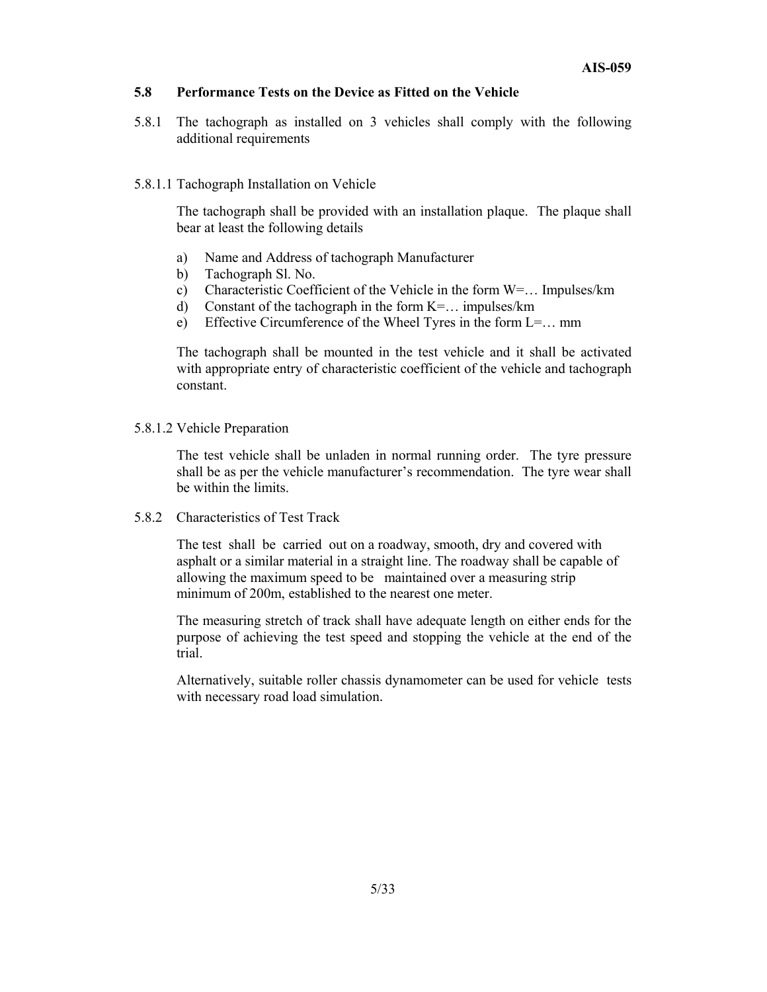#### **5.8 Performance Tests on the Device as Fitted on the Vehicle**

5.8.1 The tachograph as installed on 3 vehicles shall comply with the following additional requirements

#### 5.8.1.1 Tachograph Installation on Vehicle

 The tachograph shall be provided with an installation plaque. The plaque shall bear at least the following details

- a) Name and Address of tachograph Manufacturer
- b) Tachograph Sl. No.
- c) Characteristic Coefficient of the Vehicle in the form W=… Impulses/km
- d) Constant of the tachograph in the form K=… impulses/km
- e) Effective Circumference of the Wheel Tyres in the form L=… mm

 The tachograph shall be mounted in the test vehicle and it shall be activated with appropriate entry of characteristic coefficient of the vehicle and tachograph constant.

5.8.1.2 Vehicle Preparation

 The test vehicle shall be unladen in normal running order. The tyre pressure shall be as per the vehicle manufacturer's recommendation. The tyre wear shall be within the limits.

5.8.2 Characteristics of Test Track

The test shall be carried out on a roadway, smooth, dry and covered with asphalt or a similar material in a straight line. The roadway shall be capable of allowing the maximum speed to be maintained over a measuring strip minimum of 200m, established to the nearest one meter.

 The measuring stretch of track shall have adequate length on either ends for the purpose of achieving the test speed and stopping the vehicle at the end of the trial.

 Alternatively, suitable roller chassis dynamometer can be used for vehicle tests with necessary road load simulation.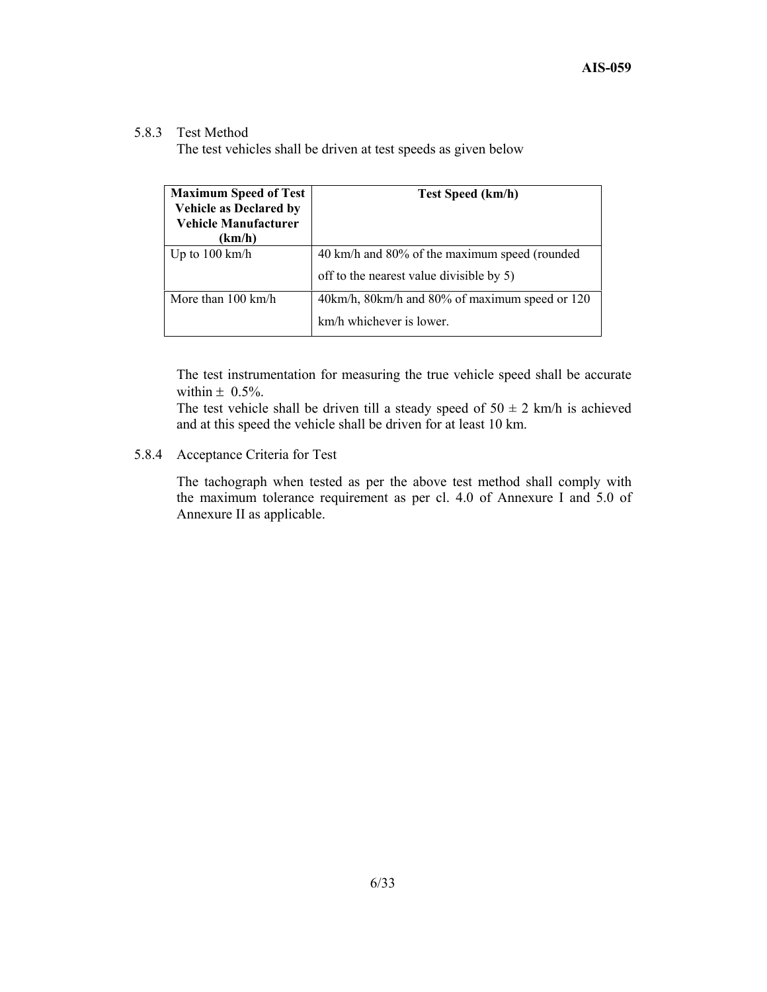#### 5.8.3 Test Method

The test vehicles shall be driven at test speeds as given below

| <b>Maximum Speed of Test</b><br><b>Vehicle as Declared by</b><br><b>Vehicle Manufacturer</b><br>(km/h) | <b>Test Speed (km/h)</b>                       |
|--------------------------------------------------------------------------------------------------------|------------------------------------------------|
| Up to $100 \text{ km/h}$                                                                               | 40 km/h and 80% of the maximum speed (rounded  |
|                                                                                                        | off to the nearest value divisible by 5)       |
| More than $100 \text{ km/h}$                                                                           | 40km/h, 80km/h and 80% of maximum speed or 120 |
|                                                                                                        | km/h whichever is lower.                       |

The test instrumentation for measuring the true vehicle speed shall be accurate within  $\pm$  0.5%.

The test vehicle shall be driven till a steady speed of  $50 \pm 2$  km/h is achieved and at this speed the vehicle shall be driven for at least 10 km.

# 5.8.4 Acceptance Criteria for Test

The tachograph when tested as per the above test method shall comply with the maximum tolerance requirement as per cl. 4.0 of Annexure I and 5.0 of Annexure II as applicable.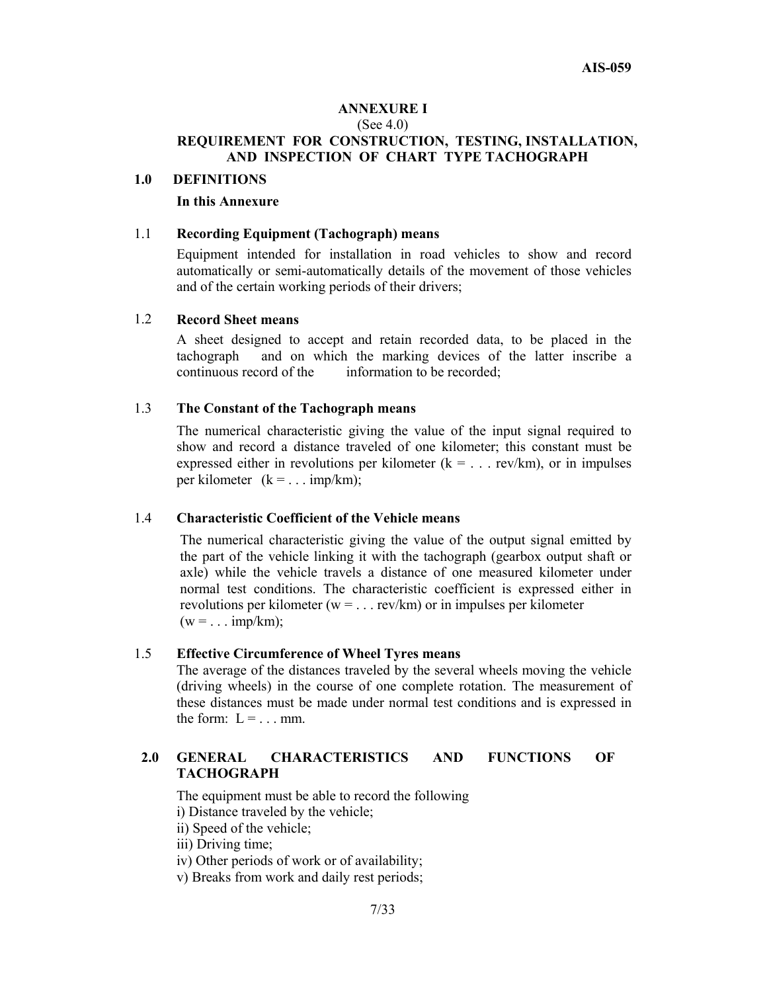#### **ANNEXURE I**  (See 4.0) **REQUIREMENT FOR CONSTRUCTION, TESTING, INSTALLATION, AND INSPECTION OF CHART TYPE TACHOGRAPH**

#### **1.0 DEFINITIONS**

#### **In this Annexure**

#### 1.1 **Recording Equipment (Tachograph) means**

 Equipment intended for installation in road vehicles to show and record automatically or semi-automatically details of the movement of those vehicles and of the certain working periods of their drivers;

#### 1.2 **Record Sheet means**

A sheet designed to accept and retain recorded data, to be placed in the tachograph and on which the marking devices of the latter inscribe a continuous record of the information to be recorded;

#### 1.3 **The Constant of the Tachograph means**

The numerical characteristic giving the value of the input signal required to show and record a distance traveled of one kilometer; this constant must be expressed either in revolutions per kilometer  $(k = ... rev/km)$ , or in impulses per kilometer  $(k = ... imp/km)$ ;

#### 1.4 **Characteristic Coefficient of the Vehicle means**

The numerical characteristic giving the value of the output signal emitted by the part of the vehicle linking it with the tachograph (gearbox output shaft or axle) while the vehicle travels a distance of one measured kilometer under normal test conditions. The characteristic coefficient is expressed either in revolutions per kilometer ( $w = ...$  rev/km) or in impulses per kilometer  $(w = ... imp/km)$ ;

#### 1.5 **Effective Circumference of Wheel Tyres means**

The average of the distances traveled by the several wheels moving the vehicle (driving wheels) in the course of one complete rotation. The measurement of these distances must be made under normal test conditions and is expressed in the form:  $L = ...$  mm.

### **2.0 GENERAL CHARACTERISTICS AND FUNCTIONS OF TACHOGRAPH**

The equipment must be able to record the following

i) Distance traveled by the vehicle;

ii) Speed of the vehicle;

iii) Driving time;

iv) Other periods of work or of availability;

v) Breaks from work and daily rest periods;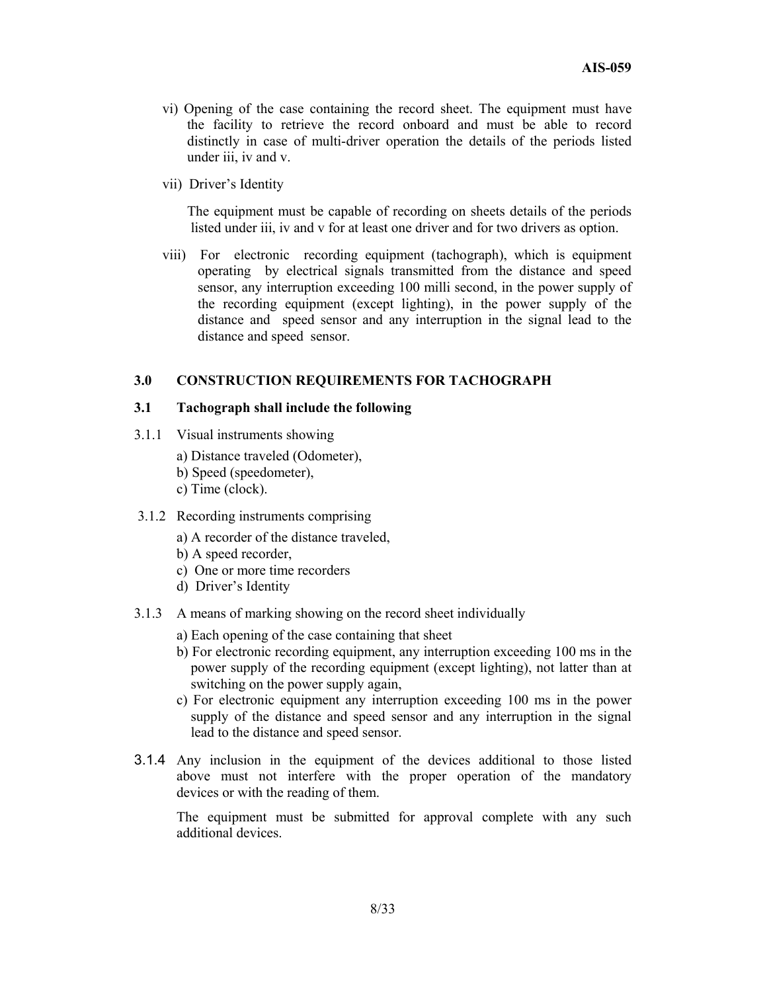- vi) Opening of the case containing the record sheet. The equipment must have the facility to retrieve the record onboard and must be able to record distinctly in case of multi-driver operation the details of the periods listed under iii, iv and v.
- vii) Driver's Identity

 The equipment must be capable of recording on sheets details of the periods listed under iii, iv and v for at least one driver and for two drivers as option.

 viii) For electronic recording equipment (tachograph), which is equipment operating by electrical signals transmitted from the distance and speed sensor, any interruption exceeding 100 milli second, in the power supply of the recording equipment (except lighting), in the power supply of the distance and speed sensor and any interruption in the signal lead to the distance and speed sensor.

#### **3.0 CONSTRUCTION REQUIREMENTS FOR TACHOGRAPH**

#### **3.1 Tachograph shall include the following**

- 3.1.1 Visual instruments showing
	- a) Distance traveled (Odometer),
	- b) Speed (speedometer),
	- c) Time (clock).
- 3.1.2 Recording instruments comprising
	- a) A recorder of the distance traveled,
	- b) A speed recorder,
	- c) One or more time recorders
	- d) Driver's Identity
- 3.1.3 A means of marking showing on the record sheet individually
	- a) Each opening of the case containing that sheet
	- b) For electronic recording equipment, any interruption exceeding 100 ms in the power supply of the recording equipment (except lighting), not latter than at switching on the power supply again,
	- c) For electronic equipment any interruption exceeding 100 ms in the power supply of the distance and speed sensor and any interruption in the signal lead to the distance and speed sensor.
- 3.1.4 Any inclusion in the equipment of the devices additional to those listed above must not interfere with the proper operation of the mandatory devices or with the reading of them.

 The equipment must be submitted for approval complete with any such additional devices.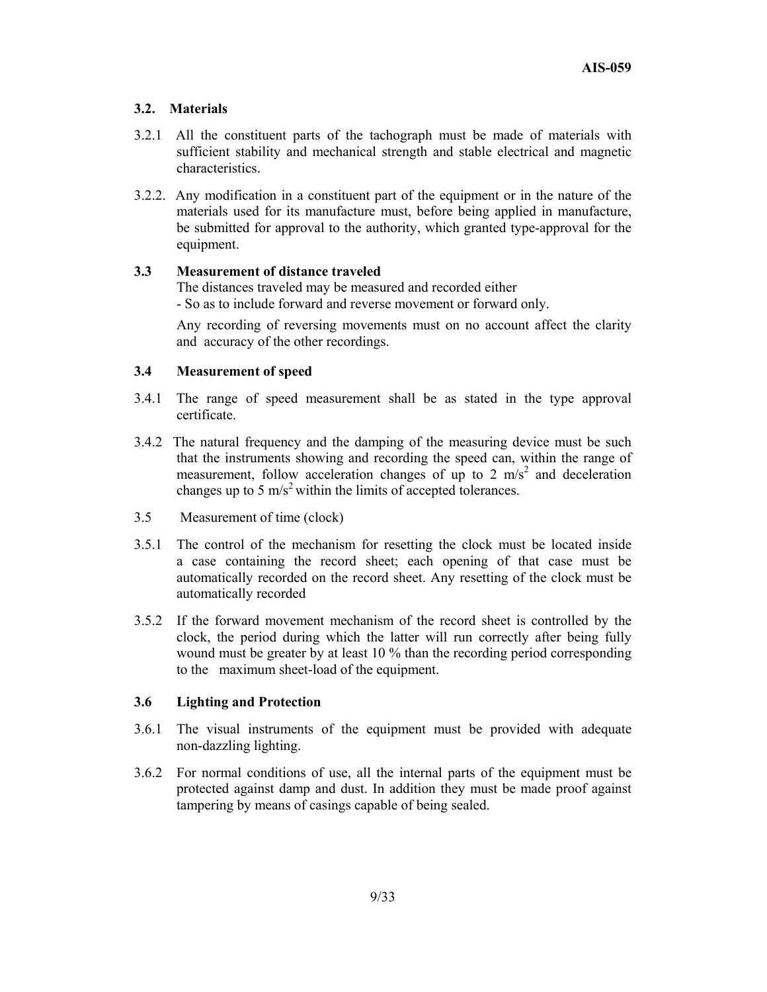#### **3.2. Materials**

- 3.2.1 All the constituent parts of the tachograph must be made of materials with sufficient stability and mechanical strength and stable electrical and magnetic characteristics.
- 3.2.2. Any modification in a constituent part of the equipment or in the nature of the materials used for its manufacture must, before being applied in manufacture, be submitted for approval to the authority, which granted type-approval for the equipment.

#### **3.3 Measurement of distance traveled**

 The distances traveled may be measured and recorded either - So as to include forward and reverse movement or forward only.

Any recording of reversing movements must on no account affect the clarity and accuracy of the other recordings.

#### **3.4 Measurement of speed**

- 3.4.1 The range of speed measurement shall be as stated in the type approval certificate.
- 3.4.2 The natural frequency and the damping of the measuring device must be such that the instruments showing and recording the speed can, within the range of measurement, follow acceleration changes of up to 2  $\text{m/s}^2$  and deceleration changes up to 5  $\text{m/s}^2$  within the limits of accepted tolerances.
- 3.5 Measurement of time (clock)
- 3.5.1 The control of the mechanism for resetting the clock must be located inside a case containing the record sheet; each opening of that case must be automatically recorded on the record sheet. Any resetting of the clock must be automatically recorded
- 3.5.2 If the forward movement mechanism of the record sheet is controlled by the clock, the period during which the latter will run correctly after being fully wound must be greater by at least 10 % than the recording period corresponding to the maximum sheet-load of the equipment.

#### **3.6 Lighting and Protection**

- 3.6.1 The visual instruments of the equipment must be provided with adequate non-dazzling lighting.
- 3.6.2 For normal conditions of use, all the internal parts of the equipment must be protected against damp and dust. In addition they must be made proof against tampering by means of casings capable of being sealed.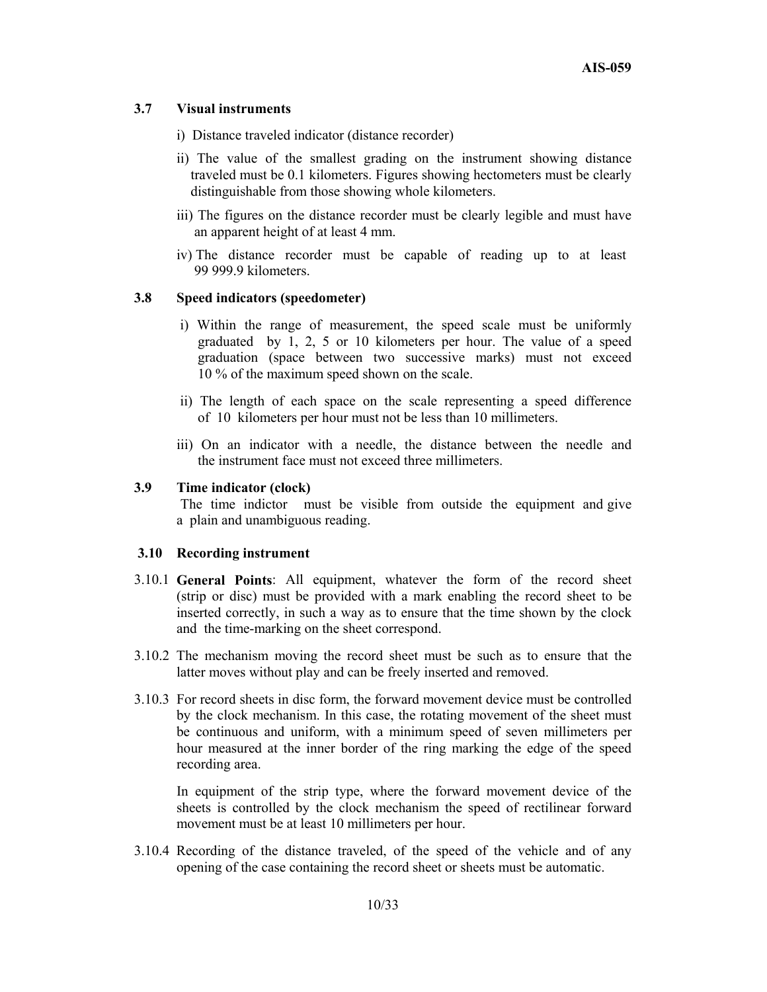#### **3.7 Visual instruments**

- i) Distance traveled indicator (distance recorder)
- ii) The value of the smallest grading on the instrument showing distance traveled must be 0.1 kilometers. Figures showing hectometers must be clearly distinguishable from those showing whole kilometers.
- iii) The figures on the distance recorder must be clearly legible and must have an apparent height of at least 4 mm.
- iv) The distance recorder must be capable of reading up to at least 99 999.9 kilometers.

#### **3.8 Speed indicators (speedometer)**

- i) Within the range of measurement, the speed scale must be uniformly graduated by 1, 2, 5 or 10 kilometers per hour. The value of a speed graduation (space between two successive marks) must not exceed 10 % of the maximum speed shown on the scale.
- ii) The length of each space on the scale representing a speed difference of 10 kilometers per hour must not be less than 10 millimeters.
- iii) On an indicator with a needle, the distance between the needle and the instrument face must not exceed three millimeters.

#### **3.9 Time indicator (clock)**

 The time indictor must be visible from outside the equipment and give a plain and unambiguous reading.

#### **3.10 Recording instrument**

- 3.10.1 **General Points**: All equipment, whatever the form of the record sheet (strip or disc) must be provided with a mark enabling the record sheet to be inserted correctly, in such a way as to ensure that the time shown by the clock and the time-marking on the sheet correspond.
- 3.10.2 The mechanism moving the record sheet must be such as to ensure that the latter moves without play and can be freely inserted and removed.
- 3.10.3 For record sheets in disc form, the forward movement device must be controlled by the clock mechanism. In this case, the rotating movement of the sheet must be continuous and uniform, with a minimum speed of seven millimeters per hour measured at the inner border of the ring marking the edge of the speed recording area.

 In equipment of the strip type, where the forward movement device of the sheets is controlled by the clock mechanism the speed of rectilinear forward movement must be at least 10 millimeters per hour.

3.10.4 Recording of the distance traveled, of the speed of the vehicle and of any opening of the case containing the record sheet or sheets must be automatic.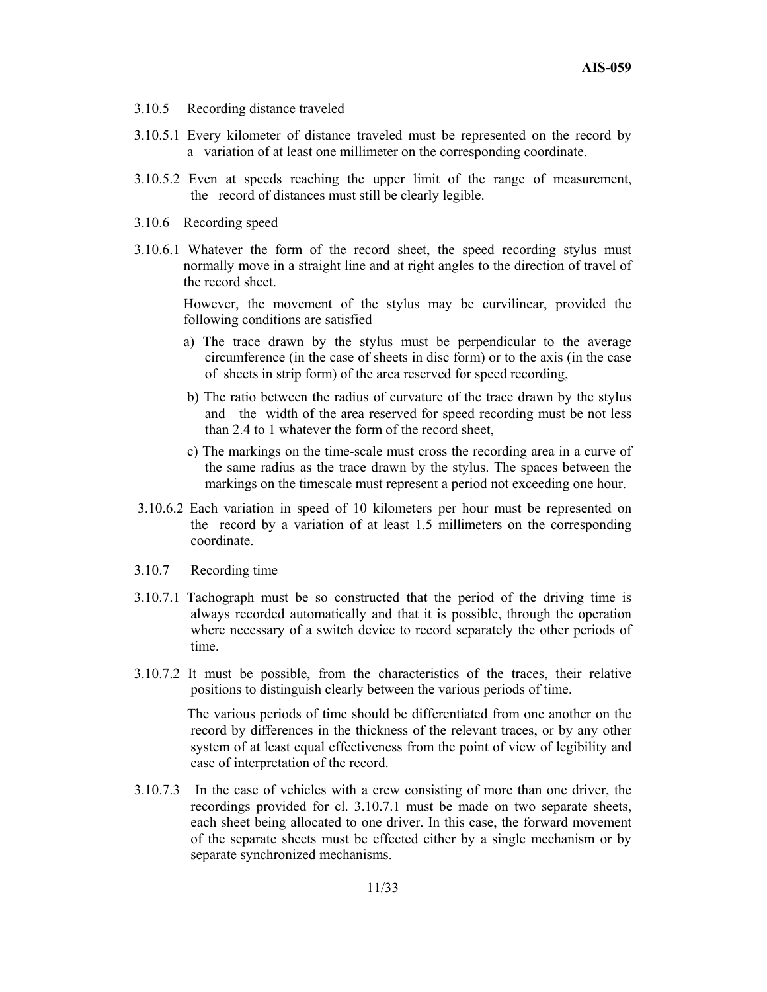- 3.10.5 Recording distance traveled
- 3.10.5.1 Every kilometer of distance traveled must be represented on the record by a variation of at least one millimeter on the corresponding coordinate.
- 3.10.5.2 Even at speeds reaching the upper limit of the range of measurement, the record of distances must still be clearly legible.
- 3.10.6 Recording speed
- 3.10.6.1 Whatever the form of the record sheet, the speed recording stylus must normally move in a straight line and at right angles to the direction of travel of the record sheet.

However, the movement of the stylus may be curvilinear, provided the following conditions are satisfied

- a) The trace drawn by the stylus must be perpendicular to the average circumference (in the case of sheets in disc form) or to the axis (in the case of sheets in strip form) of the area reserved for speed recording,
- b) The ratio between the radius of curvature of the trace drawn by the stylus and the width of the area reserved for speed recording must be not less than 2.4 to 1 whatever the form of the record sheet,
- c) The markings on the time-scale must cross the recording area in a curve of the same radius as the trace drawn by the stylus. The spaces between the markings on the timescale must represent a period not exceeding one hour.
- 3.10.6.2 Each variation in speed of 10 kilometers per hour must be represented on the record by a variation of at least 1.5 millimeters on the corresponding coordinate.
- 3.10.7 Recording time
- 3.10.7.1 Tachograph must be so constructed that the period of the driving time is always recorded automatically and that it is possible, through the operation where necessary of a switch device to record separately the other periods of time.
- 3.10.7.2 It must be possible, from the characteristics of the traces, their relative positions to distinguish clearly between the various periods of time.

 The various periods of time should be differentiated from one another on the record by differences in the thickness of the relevant traces, or by any other system of at least equal effectiveness from the point of view of legibility and ease of interpretation of the record.

3.10.7.3 In the case of vehicles with a crew consisting of more than one driver, the recordings provided for cl. 3.10.7.1 must be made on two separate sheets, each sheet being allocated to one driver. In this case, the forward movement of the separate sheets must be effected either by a single mechanism or by separate synchronized mechanisms.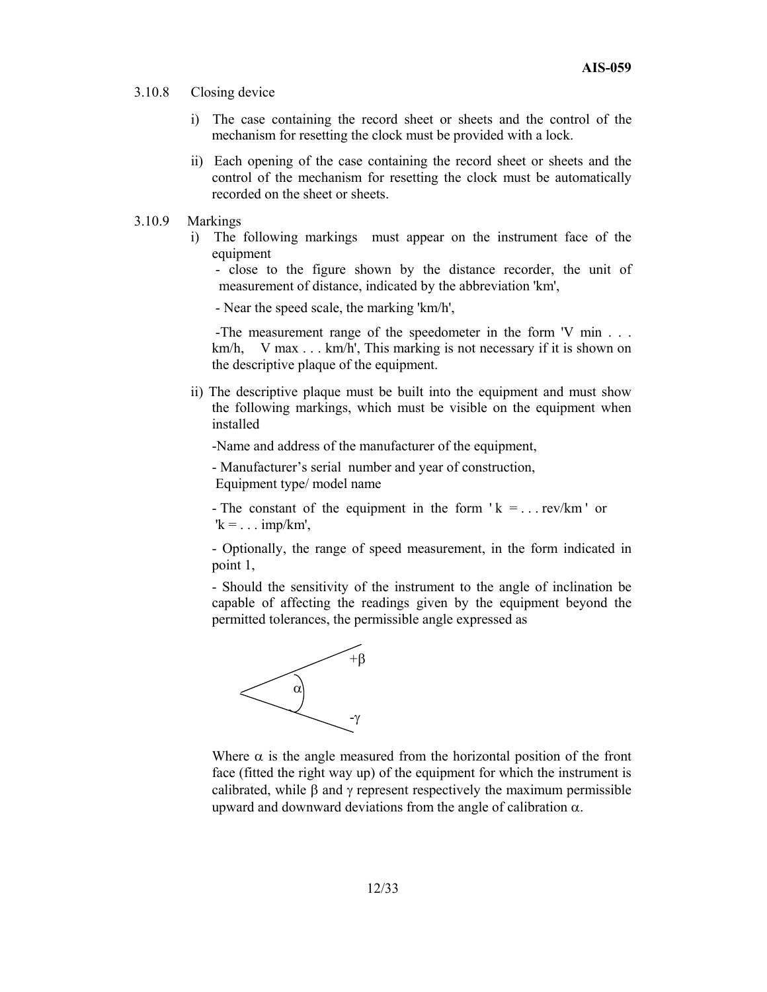- 3.10.8 Closing device
	- i) The case containing the record sheet or sheets and the control of the mechanism for resetting the clock must be provided with a lock.
	- ii) Each opening of the case containing the record sheet or sheets and the control of the mechanism for resetting the clock must be automatically recorded on the sheet or sheets.
- 3.10.9 Markings
	- i) The following markings must appear on the instrument face of the equipment

 - close to the figure shown by the distance recorder, the unit of measurement of distance, indicated by the abbreviation 'km',

- Near the speed scale, the marking 'km/h',

 -The measurement range of the speedometer in the form 'V min . . . km/h, V max  $\ldots$  km/h', This marking is not necessary if it is shown on the descriptive plaque of the equipment.

ii) The descriptive plaque must be built into the equipment and must show the following markings, which must be visible on the equipment when installed

-Name and address of the manufacturer of the equipment,

- Manufacturer's serial number and year of construction, Equipment type/ model name

- The constant of the equipment in the form  $k = ...$  rev/km  $\prime$  or  $k = \ldots$  imp/km'.

 - Optionally, the range of speed measurement, in the form indicated in point 1,

- Should the sensitivity of the instrument to the angle of inclination be capable of affecting the readings given by the equipment beyond the permitted tolerances, the permissible angle expressed as



Where  $\alpha$  is the angle measured from the horizontal position of the front face (fitted the right way up) of the equipment for which the instrument is calibrated, while  $\beta$  and  $\gamma$  represent respectively the maximum permissible upward and downward deviations from the angle of calibration  $\alpha$ .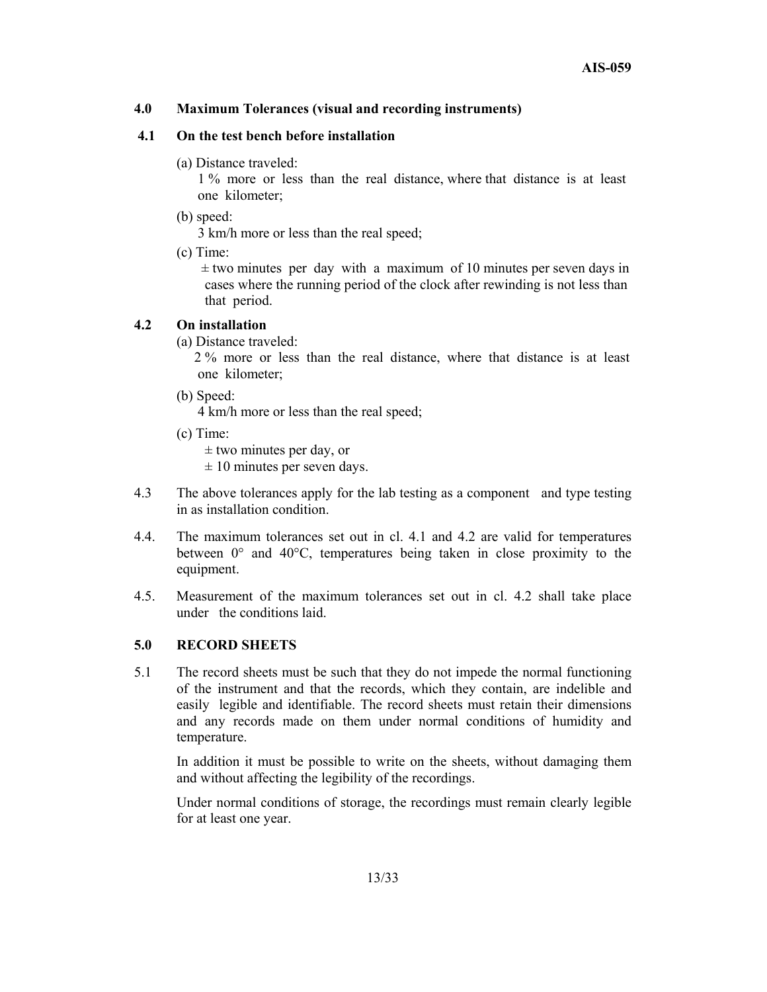#### **4.0 Maximum Tolerances (visual and recording instruments)**

#### **4.1 On the test bench before installation**

(a) Distance traveled:

1 % more or less than the real distance, where that distance is at least one kilometer;

(b) speed:

3 km/h more or less than the real speed;

(c) Time:

 $\pm$  two minutes per day with a maximum of 10 minutes per seven days in cases where the running period of the clock after rewinding is not less than that period.

#### **4.2 On installation**

(a) Distance traveled:

 2 % more or less than the real distance, where that distance is at least one kilometer;

(b) Speed:

4 km/h more or less than the real speed;

(c) Time:

 $\pm$  two minutes per day, or

 $\pm 10$  minutes per seven days.

- 4.3 The above tolerances apply for the lab testing as a component and type testing in as installation condition.
- 4.4. The maximum tolerances set out in cl. 4.1 and 4.2 are valid for temperatures between 0° and 40°C, temperatures being taken in close proximity to the equipment.
- 4.5. Measurement of the maximum tolerances set out in cl. 4.2 shall take place under the conditions laid.

#### **5.0 RECORD SHEETS**

5.1 The record sheets must be such that they do not impede the normal functioning of the instrument and that the records, which they contain, are indelible and easily legible and identifiable. The record sheets must retain their dimensions and any records made on them under normal conditions of humidity and temperature.

 In addition it must be possible to write on the sheets, without damaging them and without affecting the legibility of the recordings.

 Under normal conditions of storage, the recordings must remain clearly legible for at least one year.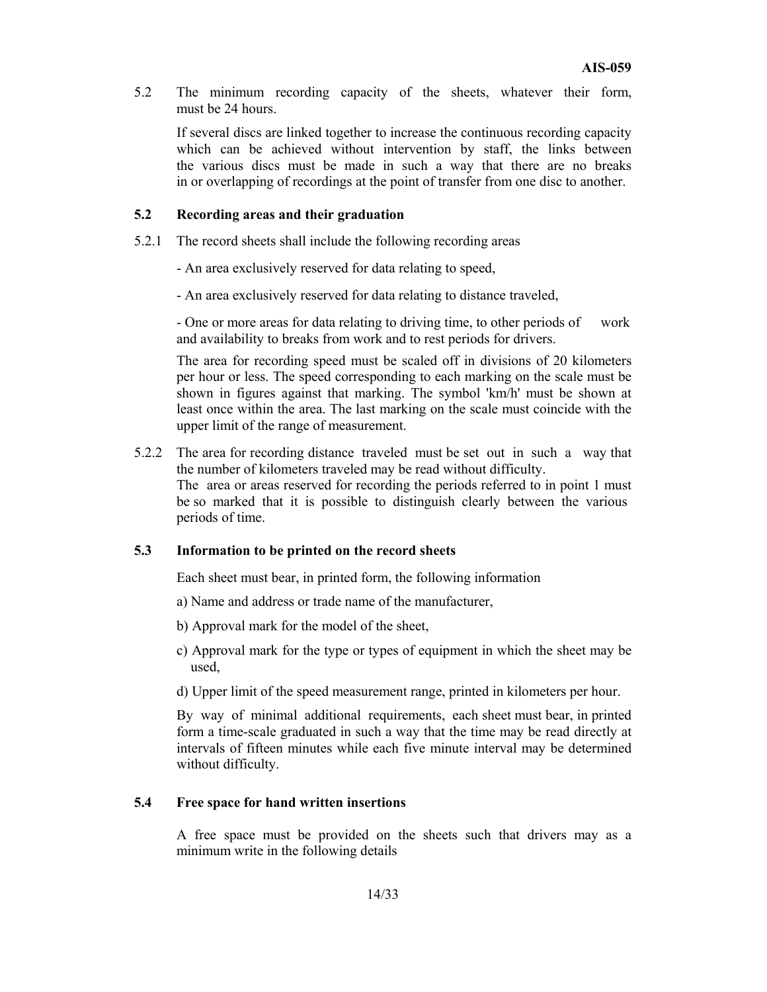5.2 The minimum recording capacity of the sheets, whatever their form, must be 24 hours.

If several discs are linked together to increase the continuous recording capacity which can be achieved without intervention by staff, the links between the various discs must be made in such a way that there are no breaks in or overlapping of recordings at the point of transfer from one disc to another.

#### **5.2 Recording areas and their graduation**

- 5.2.1 The record sheets shall include the following recording areas
	- An area exclusively reserved for data relating to speed,
	- An area exclusively reserved for data relating to distance traveled,

- One or more areas for data relating to driving time, to other periods of work and availability to breaks from work and to rest periods for drivers.

The area for recording speed must be scaled off in divisions of 20 kilometers per hour or less. The speed corresponding to each marking on the scale must be shown in figures against that marking. The symbol 'km/h' must be shown at least once within the area. The last marking on the scale must coincide with the upper limit of the range of measurement.

5.2.2 The area for recording distance traveled must be set out in such a way that the number of kilometers traveled may be read without difficulty. The area or areas reserved for recording the periods referred to in point 1 must be so marked that it is possible to distinguish clearly between the various periods of time.

#### **5.3 Information to be printed on the record sheets**

Each sheet must bear, in printed form, the following information

- a) Name and address or trade name of the manufacturer,
- b) Approval mark for the model of the sheet,
- c) Approval mark for the type or types of equipment in which the sheet may be used,
- d) Upper limit of the speed measurement range, printed in kilometers per hour.

By way of minimal additional requirements, each sheet must bear, in printed form a time-scale graduated in such a way that the time may be read directly at intervals of fifteen minutes while each five minute interval may be determined without difficulty.

#### **5.4 Free space for hand written insertions**

 A free space must be provided on the sheets such that drivers may as a minimum write in the following details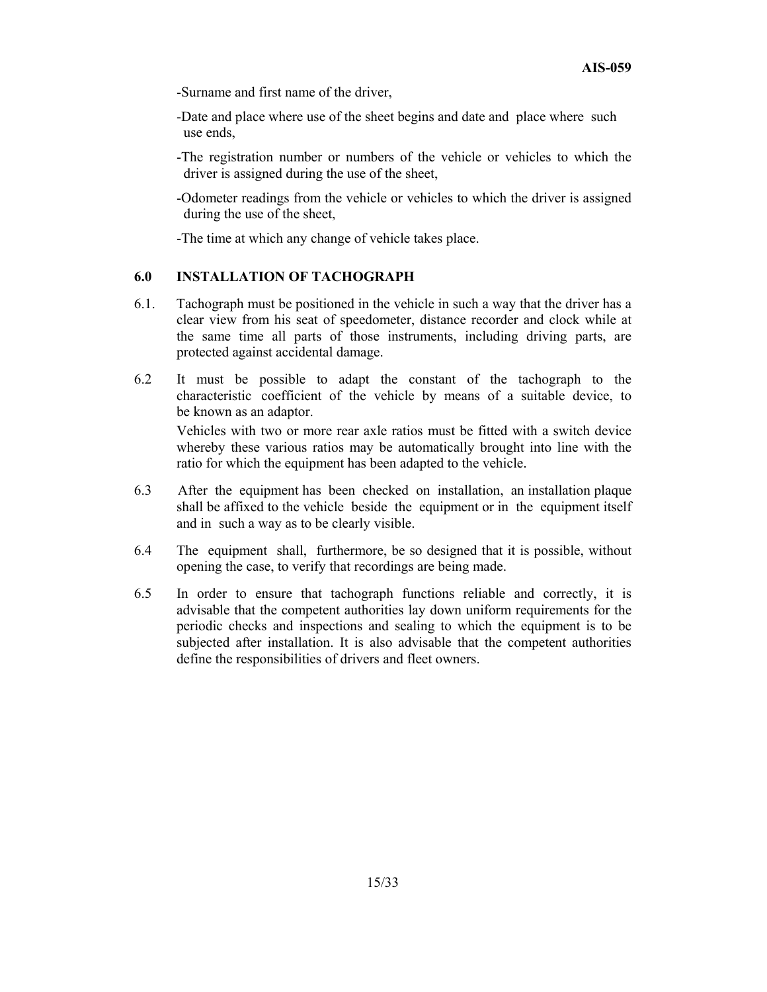-Surname and first name of the driver,

-Date and place where use of the sheet begins and date and place where such use ends,

 -The registration number or numbers of the vehicle or vehicles to which the driver is assigned during the use of the sheet,

 -Odometer readings from the vehicle or vehicles to which the driver is assigned during the use of the sheet,

-The time at which any change of vehicle takes place.

# **6.0 INSTALLATION OF TACHOGRAPH**

- 6.1. Tachograph must be positioned in the vehicle in such a way that the driver has a clear view from his seat of speedometer, distance recorder and clock while at the same time all parts of those instruments, including driving parts, are protected against accidental damage.
- 6.2 It must be possible to adapt the constant of the tachograph to the characteristic coefficient of the vehicle by means of a suitable device, to be known as an adaptor.

 Vehicles with two or more rear axle ratios must be fitted with a switch device whereby these various ratios may be automatically brought into line with the ratio for which the equipment has been adapted to the vehicle.

- 6.3 After the equipment has been checked on installation, an installation plaque shall be affixed to the vehicle beside the equipment or in the equipment itself and in such a way as to be clearly visible.
- 6.4 The equipment shall, furthermore, be so designed that it is possible, without opening the case, to verify that recordings are being made.
- 6.5 In order to ensure that tachograph functions reliable and correctly, it is advisable that the competent authorities lay down uniform requirements for the periodic checks and inspections and sealing to which the equipment is to be subjected after installation. It is also advisable that the competent authorities define the responsibilities of drivers and fleet owners.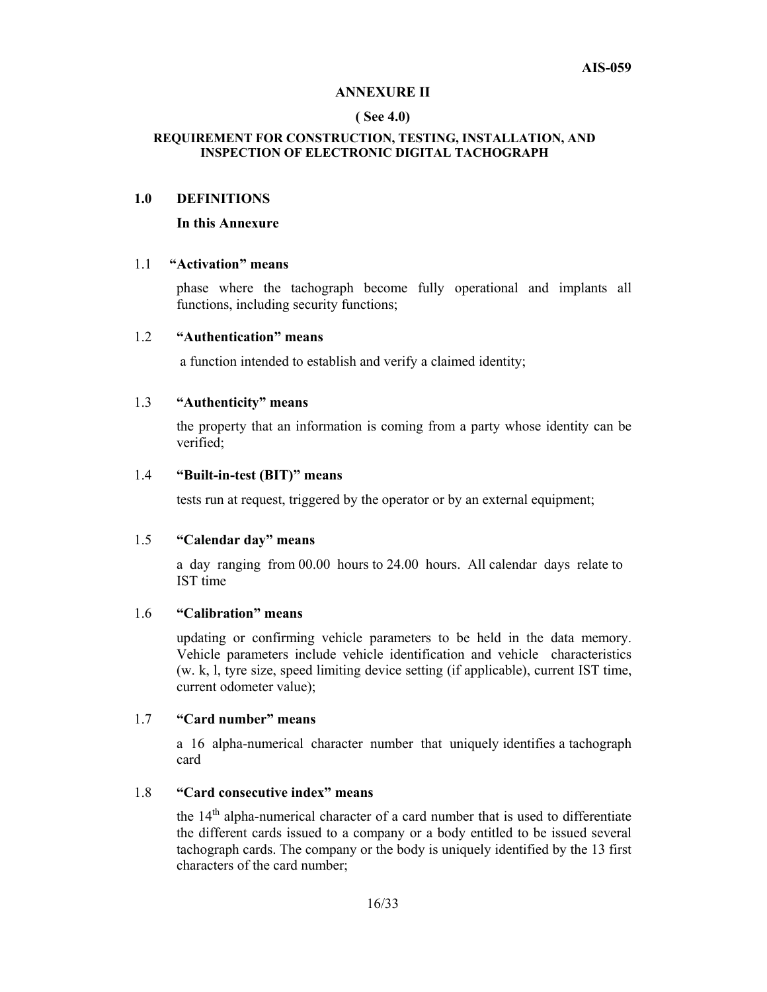#### **ANNEXURE II**

#### **( See 4.0)**

#### **REQUIREMENT FOR CONSTRUCTION, TESTING, INSTALLATION, AND INSPECTION OF ELECTRONIC DIGITAL TACHOGRAPH**

#### **1.0 DEFINITIONS**

#### **In this Annexure**

#### 1.1 **"Activation" means**

 phase where the tachograph become fully operational and implants all functions, including security functions;

#### 1.2 **"Authentication" means**

a function intended to establish and verify a claimed identity;

#### 1.3 **"Authenticity" means**

the property that an information is coming from a party whose identity can be verified;

#### 1.4 **"Built-in-test (BIT)" means**

tests run at request, triggered by the operator or by an external equipment;

#### 1.5 **"Calendar day" means**

a day ranging from 00.00 hours to 24.00 hours. All calendar days relate to IST time

### 1.6 **"Calibration" means**

updating or confirming vehicle parameters to be held in the data memory. Vehicle parameters include vehicle identification and vehicle characteristics (w. k, l, tyre size, speed limiting device setting (if applicable), current IST time, current odometer value);

#### 1.7 **"Card number" means**

a 16 alpha-numerical character number that uniquely identifies a tachograph card

#### 1.8 **"Card consecutive index" means**

the  $14<sup>th</sup>$  alpha-numerical character of a card number that is used to differentiate the different cards issued to a company or a body entitled to be issued several tachograph cards. The company or the body is uniquely identified by the 13 first characters of the card number;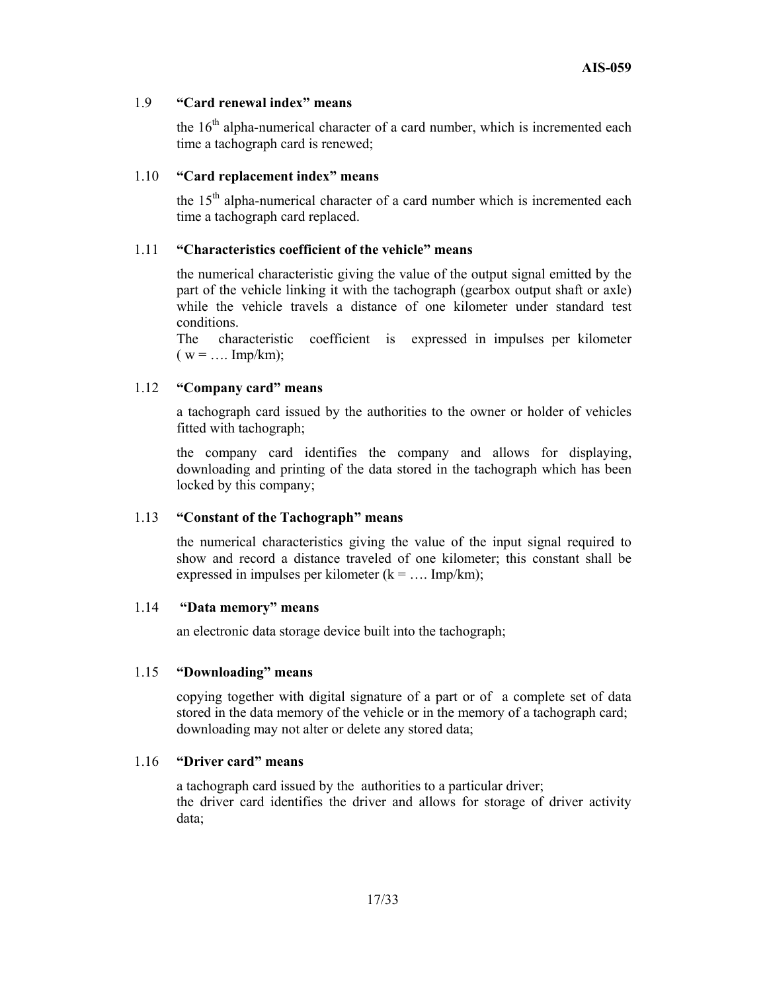#### 1.9 **"Card renewal index" means**

the  $16<sup>th</sup>$  alpha-numerical character of a card number, which is incremented each time a tachograph card is renewed;

#### 1.10 **"Card replacement index" means**

the  $15<sup>th</sup>$  alpha-numerical character of a card number which is incremented each time a tachograph card replaced.

#### 1.11 **"Characteristics coefficient of the vehicle" means**

the numerical characteristic giving the value of the output signal emitted by the part of the vehicle linking it with the tachograph (gearbox output shaft or axle) while the vehicle travels a distance of one kilometer under standard test conditions.

The characteristic coefficient is expressed in impulses per kilometer  $(w = ... Imp/km);$ 

#### 1.12 **"Company card" means**

a tachograph card issued by the authorities to the owner or holder of vehicles fitted with tachograph;

the company card identifies the company and allows for displaying, downloading and printing of the data stored in the tachograph which has been locked by this company;

#### 1.13 **"Constant of the Tachograph" means**

the numerical characteristics giving the value of the input signal required to show and record a distance traveled of one kilometer; this constant shall be expressed in impulses per kilometer  $(k = ... Imp/km)$ ;

#### 1.14 **"Data memory" means**

an electronic data storage device built into the tachograph;

#### 1.15 **"Downloading" means**

copying together with digital signature of a part or of a complete set of data stored in the data memory of the vehicle or in the memory of a tachograph card; downloading may not alter or delete any stored data;

#### 1.16 **"Driver card" means**

a tachograph card issued by the authorities to a particular driver; the driver card identifies the driver and allows for storage of driver activity data;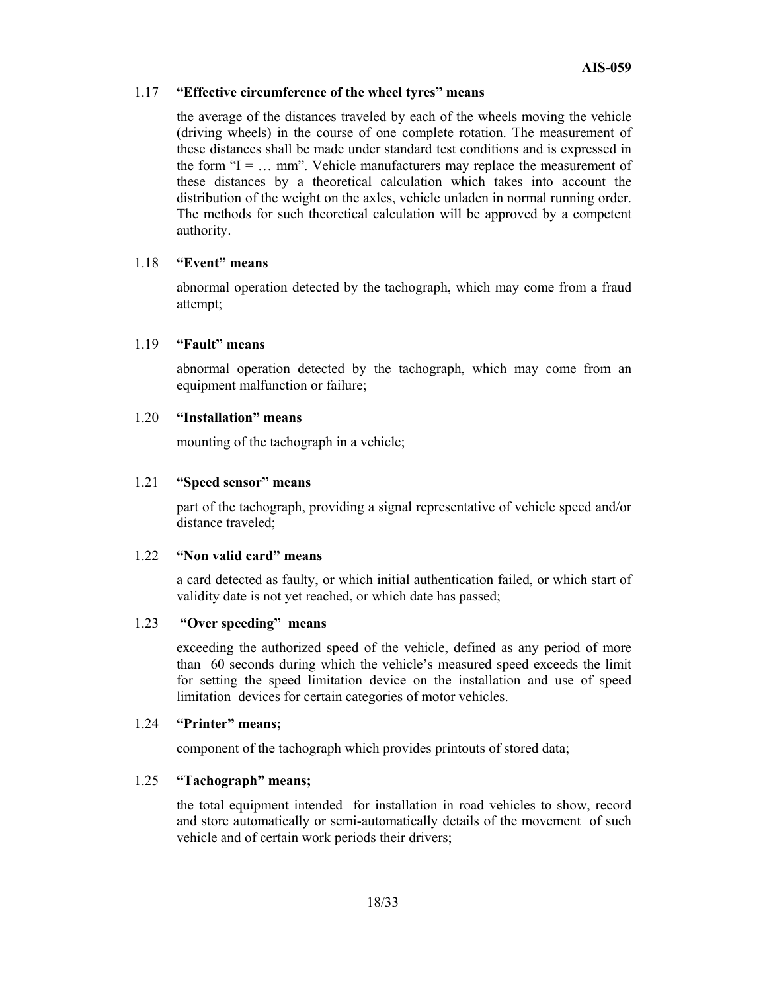#### 1.17 **"Effective circumference of the wheel tyres" means**

the average of the distances traveled by each of the wheels moving the vehicle (driving wheels) in the course of one complete rotation. The measurement of these distances shall be made under standard test conditions and is expressed in the form " $I = ...$  mm". Vehicle manufacturers may replace the measurement of these distances by a theoretical calculation which takes into account the distribution of the weight on the axles, vehicle unladen in normal running order. The methods for such theoretical calculation will be approved by a competent authority.

#### 1.18 **"Event" means**

abnormal operation detected by the tachograph, which may come from a fraud attempt;

#### 1.19 **"Fault" means**

abnormal operation detected by the tachograph, which may come from an equipment malfunction or failure;

#### 1.20 **"Installation" means**

mounting of the tachograph in a vehicle;

#### 1.21 **"Speed sensor" means**

part of the tachograph, providing a signal representative of vehicle speed and/or distance traveled;

#### 1.22 **"Non valid card" means**

a card detected as faulty, or which initial authentication failed, or which start of validity date is not yet reached, or which date has passed;

#### 1.23 **"Over speeding" means**

exceeding the authorized speed of the vehicle, defined as any period of more than 60 seconds during which the vehicle's measured speed exceeds the limit for setting the speed limitation device on the installation and use of speed limitation devices for certain categories of motor vehicles.

#### 1.24 **"Printer" means;**

component of the tachograph which provides printouts of stored data;

#### 1.25 **"Tachograph" means;**

the total equipment intended for installation in road vehicles to show, record and store automatically or semi-automatically details of the movement of such vehicle and of certain work periods their drivers;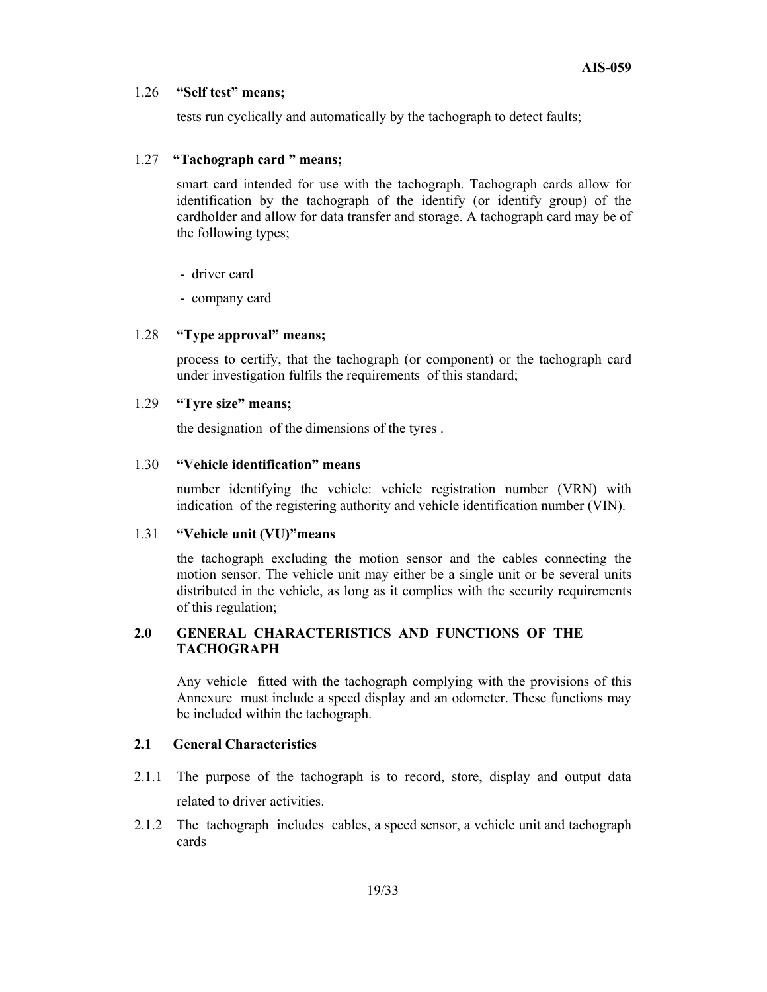#### 1.26 **"Self test" means;**

tests run cyclically and automatically by the tachograph to detect faults;

#### 1.27 **"Tachograph card " means;**

smart card intended for use with the tachograph. Tachograph cards allow for identification by the tachograph of the identify (or identify group) of the cardholder and allow for data transfer and storage. A tachograph card may be of the following types;

- driver card
- company card

#### 1.28 **"Type approval" means;**

process to certify, that the tachograph (or component) or the tachograph card under investigation fulfils the requirements of this standard;

#### 1.29 **"Tyre size" means;**

the designation of the dimensions of the tyres .

# 1.30 **"Vehicle identification" means**

number identifying the vehicle: vehicle registration number (VRN) with indication of the registering authority and vehicle identification number (VIN).

#### 1.31 **"Vehicle unit (VU)"means**

the tachograph excluding the motion sensor and the cables connecting the motion sensor. The vehicle unit may either be a single unit or be several units distributed in the vehicle, as long as it complies with the security requirements of this regulation;

#### **2.0 GENERAL CHARACTERISTICS AND FUNCTIONS OF THE TACHOGRAPH**

Any vehicle fitted with the tachograph complying with the provisions of this Annexure must include a speed display and an odometer. These functions may be included within the tachograph.

#### **2.1 General Characteristics**

- 2.1.1 The purpose of the tachograph is to record, store, display and output data related to driver activities.
- 2.1.2 The tachograph includes cables, a speed sensor, a vehicle unit and tachograph cards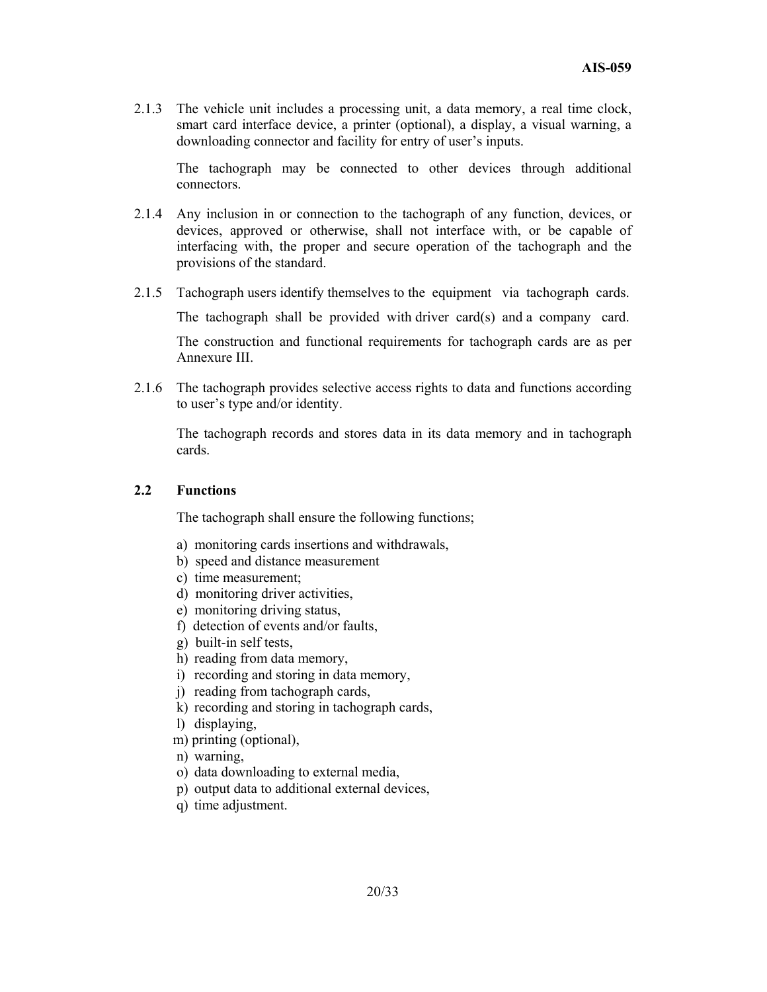2.1.3 The vehicle unit includes a processing unit, a data memory, a real time clock, smart card interface device, a printer (optional), a display, a visual warning, a downloading connector and facility for entry of user's inputs.

The tachograph may be connected to other devices through additional connectors.

- 2.1.4 Any inclusion in or connection to the tachograph of any function, devices, or devices, approved or otherwise, shall not interface with, or be capable of interfacing with, the proper and secure operation of the tachograph and the provisions of the standard.
- 2.1.5 Tachograph users identify themselves to the equipment via tachograph cards. The tachograph shall be provided with driver card(s) and a company card. The construction and functional requirements for tachograph cards are as per Annexure III.
- 2.1.6 The tachograph provides selective access rights to data and functions according to user's type and/or identity.

The tachograph records and stores data in its data memory and in tachograph cards.

#### **2.2 Functions**

The tachograph shall ensure the following functions;

- a) monitoring cards insertions and withdrawals,
- b) speed and distance measurement
- c) time measurement;
- d) monitoring driver activities,
- e) monitoring driving status,
- f) detection of events and/or faults,
- g) built-in self tests,
- h) reading from data memory,
- i) recording and storing in data memory,
- j) reading from tachograph cards,
- k) recording and storing in tachograph cards,
- l) displaying,
- m) printing (optional),
- n) warning,
- o) data downloading to external media,
- p) output data to additional external devices,
- q) time adjustment.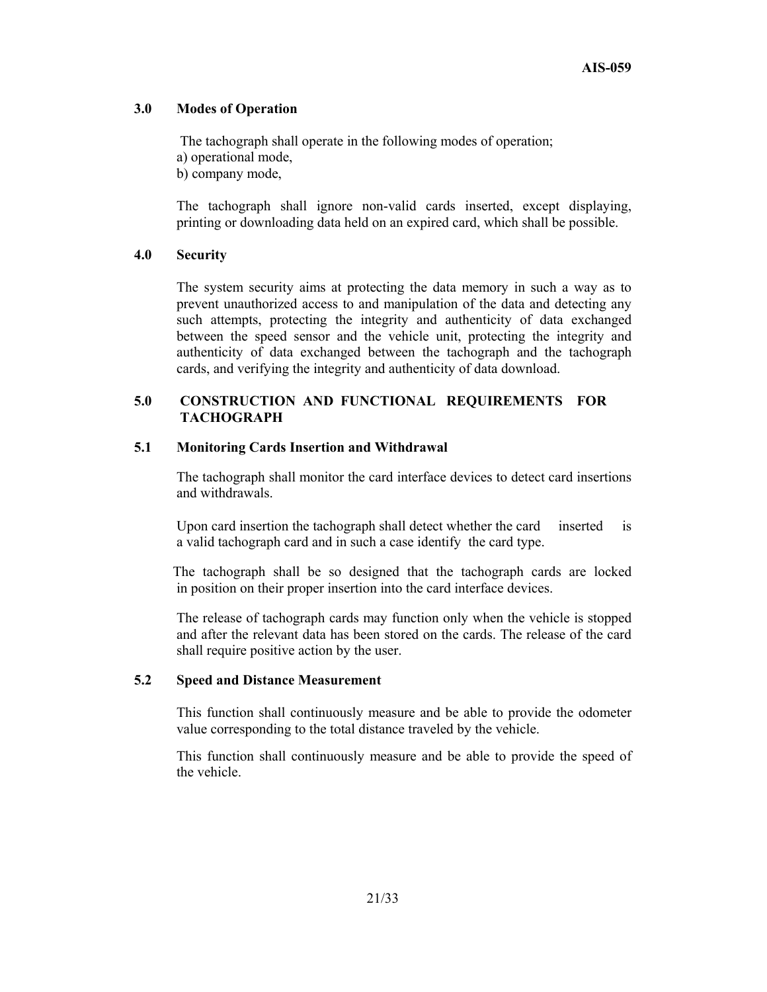#### **3.0 Modes of Operation**

 The tachograph shall operate in the following modes of operation; a) operational mode, b) company mode,

The tachograph shall ignore non-valid cards inserted, except displaying, printing or downloading data held on an expired card, which shall be possible.

#### **4.0 Security**

The system security aims at protecting the data memory in such a way as to prevent unauthorized access to and manipulation of the data and detecting any such attempts, protecting the integrity and authenticity of data exchanged between the speed sensor and the vehicle unit, protecting the integrity and authenticity of data exchanged between the tachograph and the tachograph cards, and verifying the integrity and authenticity of data download.

#### **5.0 CONSTRUCTION AND FUNCTIONAL REQUIREMENTS FOR TACHOGRAPH**

#### **5.1 Monitoring Cards Insertion and Withdrawal**

The tachograph shall monitor the card interface devices to detect card insertions and withdrawals.

Upon card insertion the tachograph shall detect whether the card inserted is a valid tachograph card and in such a case identify the card type.

 The tachograph shall be so designed that the tachograph cards are locked in position on their proper insertion into the card interface devices.

The release of tachograph cards may function only when the vehicle is stopped and after the relevant data has been stored on the cards. The release of the card shall require positive action by the user.

#### **5.2 Speed and Distance Measurement**

This function shall continuously measure and be able to provide the odometer value corresponding to the total distance traveled by the vehicle.

This function shall continuously measure and be able to provide the speed of the vehicle.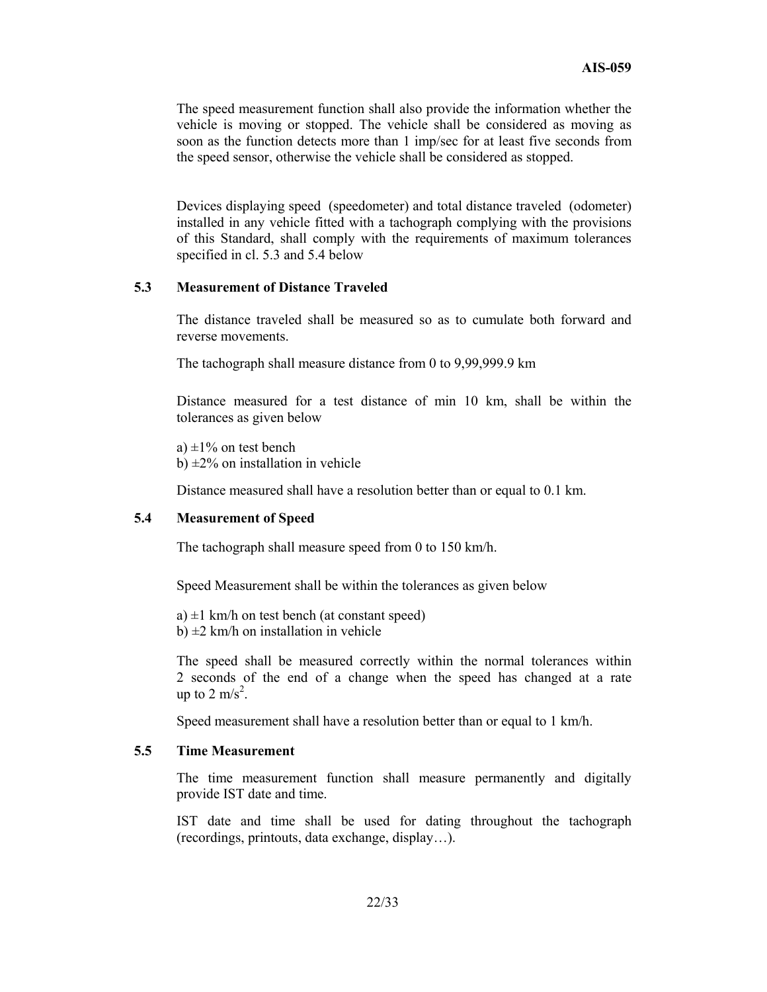The speed measurement function shall also provide the information whether the vehicle is moving or stopped. The vehicle shall be considered as moving as soon as the function detects more than 1 imp/sec for at least five seconds from the speed sensor, otherwise the vehicle shall be considered as stopped.

Devices displaying speed (speedometer) and total distance traveled (odometer) installed in any vehicle fitted with a tachograph complying with the provisions of this Standard, shall comply with the requirements of maximum tolerances specified in cl. 5.3 and 5.4 below

#### **5.3 Measurement of Distance Traveled**

The distance traveled shall be measured so as to cumulate both forward and reverse movements.

The tachograph shall measure distance from 0 to 9,99,999.9 km

Distance measured for a test distance of min 10 km, shall be within the tolerances as given below

a)  $\pm 1\%$  on test bench b)  $\pm$ 2% on installation in vehicle

Distance measured shall have a resolution better than or equal to 0.1 km.

#### **5.4 Measurement of Speed**

The tachograph shall measure speed from 0 to 150 km/h.

Speed Measurement shall be within the tolerances as given below

a)  $\pm 1$  km/h on test bench (at constant speed) b)  $\pm 2$  km/h on installation in vehicle

The speed shall be measured correctly within the normal tolerances within 2 seconds of the end of a change when the speed has changed at a rate up to 2 m/s<sup>2</sup>.

Speed measurement shall have a resolution better than or equal to 1 km/h.

#### **5.5 Time Measurement**

The time measurement function shall measure permanently and digitally provide IST date and time.

IST date and time shall be used for dating throughout the tachograph (recordings, printouts, data exchange, display…).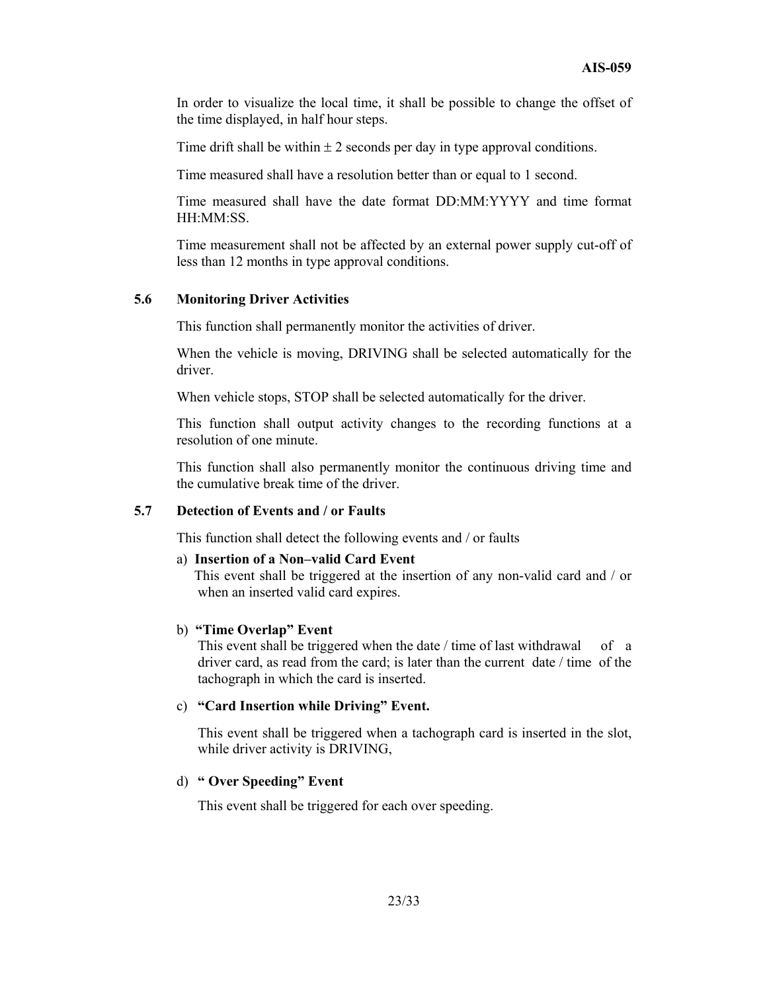In order to visualize the local time, it shall be possible to change the offset of the time displayed, in half hour steps.

Time drift shall be within  $\pm 2$  seconds per day in type approval conditions.

Time measured shall have a resolution better than or equal to 1 second.

Time measured shall have the date format DD:MM:YYYY and time format HH:MM:SS.

Time measurement shall not be affected by an external power supply cut-off of less than 12 months in type approval conditions.

#### **5.6 Monitoring Driver Activities**

This function shall permanently monitor the activities of driver.

When the vehicle is moving, DRIVING shall be selected automatically for the driver.

When vehicle stops, STOP shall be selected automatically for the driver.

This function shall output activity changes to the recording functions at a resolution of one minute.

This function shall also permanently monitor the continuous driving time and the cumulative break time of the driver.

#### **5.7 Detection of Events and / or Faults**

This function shall detect the following events and / or faults

#### a) **Insertion of a Non–valid Card Event**

 This event shall be triggered at the insertion of any non-valid card and / or when an inserted valid card expires.

#### b) **"Time Overlap" Event**

This event shall be triggered when the date / time of last withdrawal of a driver card, as read from the card; is later than the current date / time of the tachograph in which the card is inserted.

#### c) **"Card Insertion while Driving" Event.**

This event shall be triggered when a tachograph card is inserted in the slot, while driver activity is DRIVING,

#### d) **" Over Speeding" Event**

This event shall be triggered for each over speeding.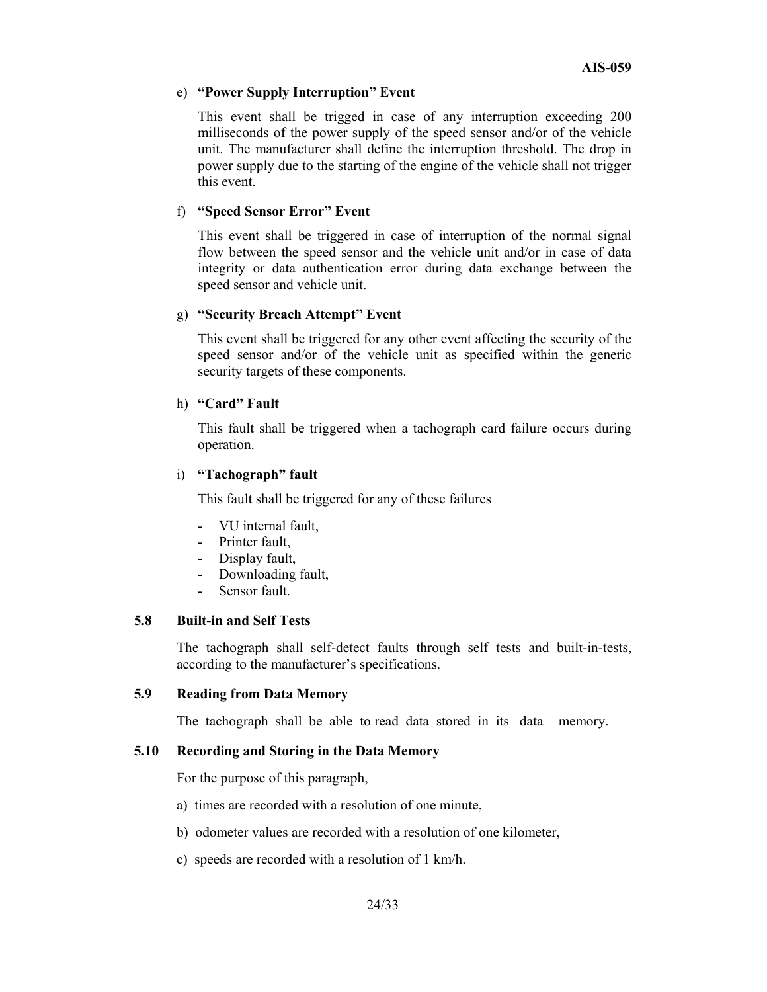#### e) **"Power Supply Interruption" Event**

This event shall be trigged in case of any interruption exceeding 200 milliseconds of the power supply of the speed sensor and/or of the vehicle unit. The manufacturer shall define the interruption threshold. The drop in power supply due to the starting of the engine of the vehicle shall not trigger this event.

#### f) **"Speed Sensor Error" Event**

This event shall be triggered in case of interruption of the normal signal flow between the speed sensor and the vehicle unit and/or in case of data integrity or data authentication error during data exchange between the speed sensor and vehicle unit.

#### g) **"Security Breach Attempt" Event**

This event shall be triggered for any other event affecting the security of the speed sensor and/or of the vehicle unit as specified within the generic security targets of these components.

#### h) **"Card" Fault**

This fault shall be triggered when a tachograph card failure occurs during operation.

#### i) **"Tachograph" fault**

This fault shall be triggered for any of these failures

- VU internal fault.
- Printer fault,
- Display fault,
- Downloading fault,
- Sensor fault.

#### **5.8 Built-in and Self Tests**

The tachograph shall self-detect faults through self tests and built-in-tests, according to the manufacturer's specifications.

#### **5.9 Reading from Data Memory**

The tachograph shall be able to read data stored in its data memory.

#### **5.10 Recording and Storing in the Data Memory**

For the purpose of this paragraph,

- a) times are recorded with a resolution of one minute,
- b) odometer values are recorded with a resolution of one kilometer,
- c) speeds are recorded with a resolution of 1 km/h.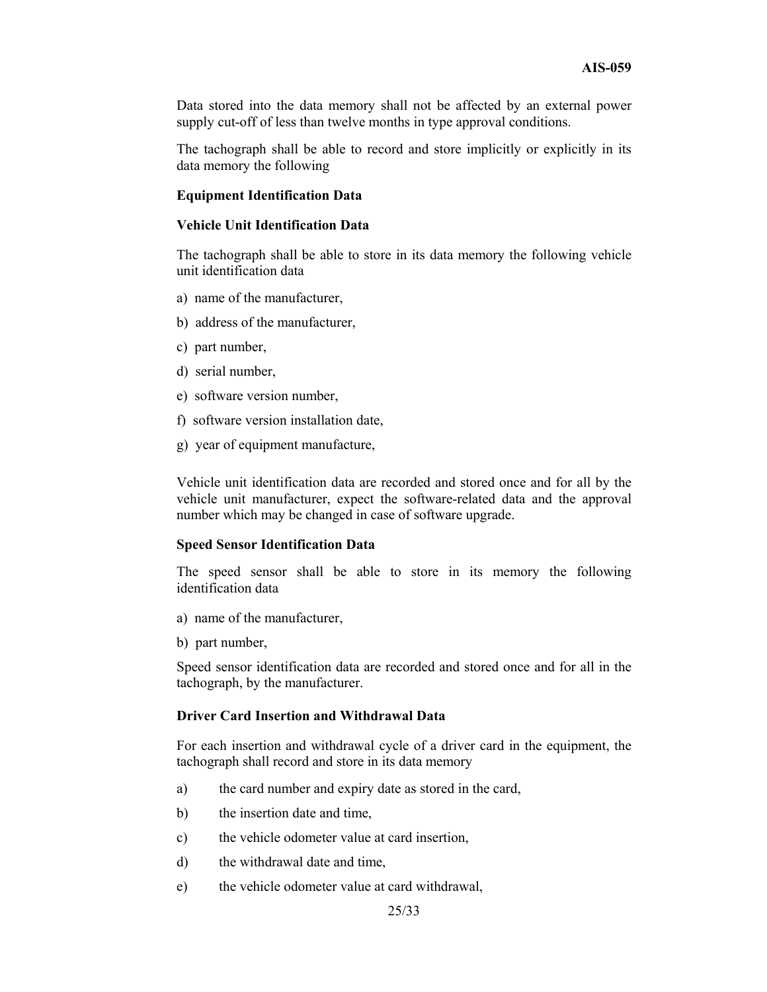Data stored into the data memory shall not be affected by an external power supply cut-off of less than twelve months in type approval conditions.

The tachograph shall be able to record and store implicitly or explicitly in its data memory the following

#### **Equipment Identification Data**

#### **Vehicle Unit Identification Data**

The tachograph shall be able to store in its data memory the following vehicle unit identification data

- a) name of the manufacturer,
- b) address of the manufacturer,
- c) part number,
- d) serial number,
- e) software version number,
- f) software version installation date,
- g) year of equipment manufacture,

Vehicle unit identification data are recorded and stored once and for all by the vehicle unit manufacturer, expect the software-related data and the approval number which may be changed in case of software upgrade.

#### **Speed Sensor Identification Data**

The speed sensor shall be able to store in its memory the following identification data

- a) name of the manufacturer,
- b) part number,

Speed sensor identification data are recorded and stored once and for all in the tachograph, by the manufacturer.

#### **Driver Card Insertion and Withdrawal Data**

For each insertion and withdrawal cycle of a driver card in the equipment, the tachograph shall record and store in its data memory

- a) the card number and expiry date as stored in the card,
- b) the insertion date and time,
- c) the vehicle odometer value at card insertion,
- d) the withdrawal date and time,
- e) the vehicle odometer value at card withdrawal,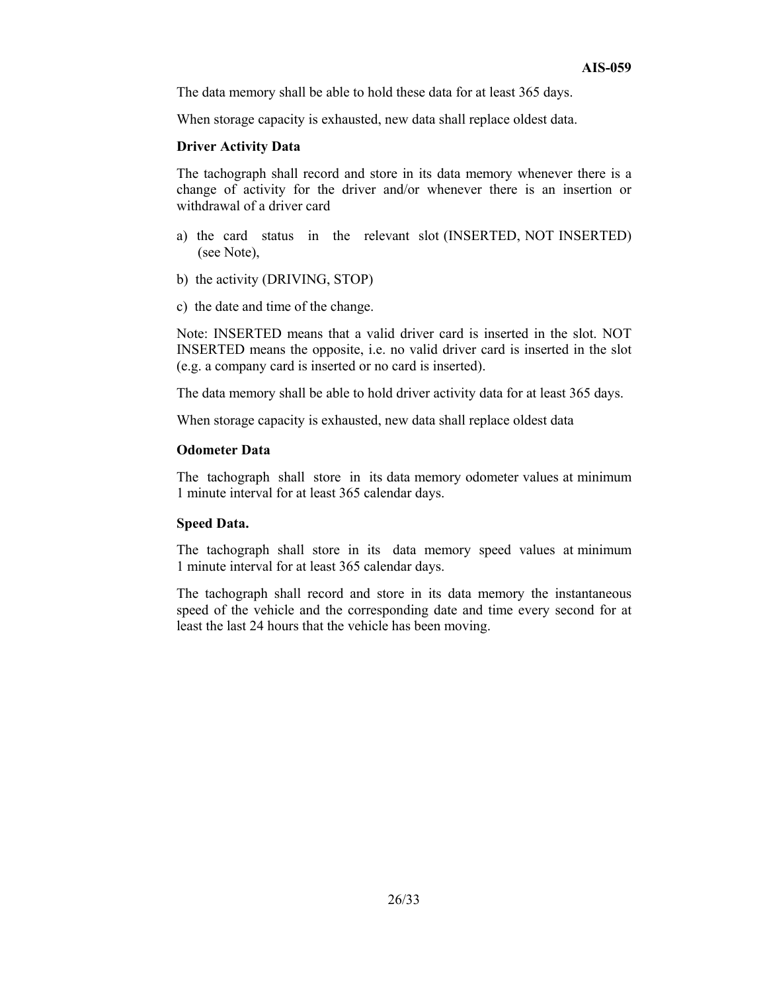The data memory shall be able to hold these data for at least 365 days.

When storage capacity is exhausted, new data shall replace oldest data.

#### **Driver Activity Data**

The tachograph shall record and store in its data memory whenever there is a change of activity for the driver and/or whenever there is an insertion or withdrawal of a driver card

- a) the card status in the relevant slot (INSERTED, NOT INSERTED) (see Note),
- b) the activity (DRIVING, STOP)
- c) the date and time of the change.

Note: INSERTED means that a valid driver card is inserted in the slot. NOT INSERTED means the opposite, i.e. no valid driver card is inserted in the slot (e.g. a company card is inserted or no card is inserted).

The data memory shall be able to hold driver activity data for at least 365 days.

When storage capacity is exhausted, new data shall replace oldest data

#### **Odometer Data**

The tachograph shall store in its data memory odometer values at minimum 1 minute interval for at least 365 calendar days.

#### **Speed Data.**

The tachograph shall store in its data memory speed values at minimum 1 minute interval for at least 365 calendar days.

The tachograph shall record and store in its data memory the instantaneous speed of the vehicle and the corresponding date and time every second for at least the last 24 hours that the vehicle has been moving.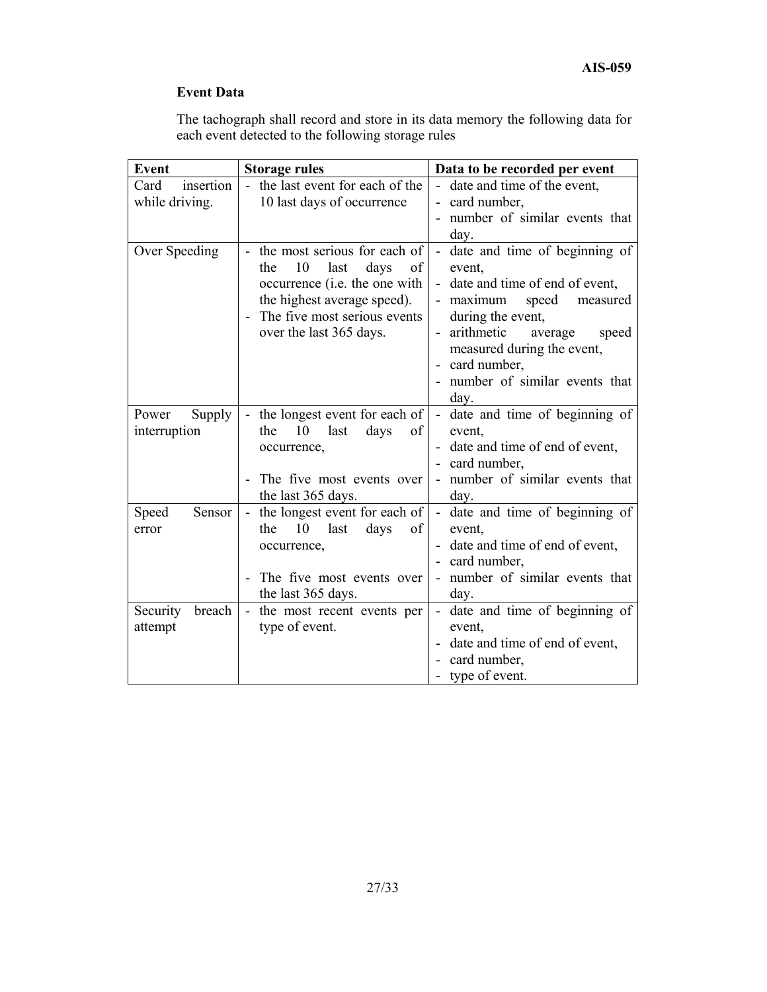# **Event Data**

The tachograph shall record and store in its data memory the following data for each event detected to the following storage rules

| <b>Event</b>             | <b>Storage rules</b>                                                                                                            | Data to be recorded per event                                                                                 |
|--------------------------|---------------------------------------------------------------------------------------------------------------------------------|---------------------------------------------------------------------------------------------------------------|
| insertion<br>Card        | - the last event for each of the                                                                                                | - date and time of the event,                                                                                 |
| while driving.           | 10 last days of occurrence                                                                                                      | card number,                                                                                                  |
|                          |                                                                                                                                 | number of similar events that                                                                                 |
|                          |                                                                                                                                 | day.                                                                                                          |
| Over Speeding            | the most serious for each of<br>10<br>last<br>the<br>days<br>of<br>occurrence (i.e. the one with<br>the highest average speed). | date and time of beginning of<br>event,<br>- date and time of end of event,<br>speed<br>- maximum<br>measured |
|                          | The five most serious events                                                                                                    | during the event,                                                                                             |
|                          | over the last 365 days.                                                                                                         | arithmetic<br>average<br>speed<br>measured during the event,                                                  |
|                          |                                                                                                                                 | card number,                                                                                                  |
|                          |                                                                                                                                 | number of similar events that<br>day.                                                                         |
| Power<br>Supply          | - the longest event for each of                                                                                                 | - date and time of beginning of                                                                               |
| interruption             | 10<br>days<br>the<br>last<br>of                                                                                                 | event,                                                                                                        |
|                          | occurrence,                                                                                                                     | date and time of end of event,                                                                                |
|                          |                                                                                                                                 | card number,                                                                                                  |
|                          | The five most events over<br>the last 365 days.                                                                                 | - number of similar events that<br>day.                                                                       |
| Sensor<br>Speed<br>error | - the longest event for each of<br>the<br>10<br>last<br>days<br>of                                                              | - date and time of beginning of<br>event,                                                                     |
|                          | occurrence,                                                                                                                     | date and time of end of event,                                                                                |
|                          |                                                                                                                                 | card number,                                                                                                  |
|                          | The five most events over                                                                                                       | number of similar events that                                                                                 |
|                          | the last 365 days.                                                                                                              | day.                                                                                                          |
| Security<br>breach       | - the most recent events per                                                                                                    | - date and time of beginning of                                                                               |
| attempt                  | type of event.                                                                                                                  | event,                                                                                                        |
|                          |                                                                                                                                 | date and time of end of event,                                                                                |
|                          |                                                                                                                                 | card number,                                                                                                  |
|                          |                                                                                                                                 | - type of event.                                                                                              |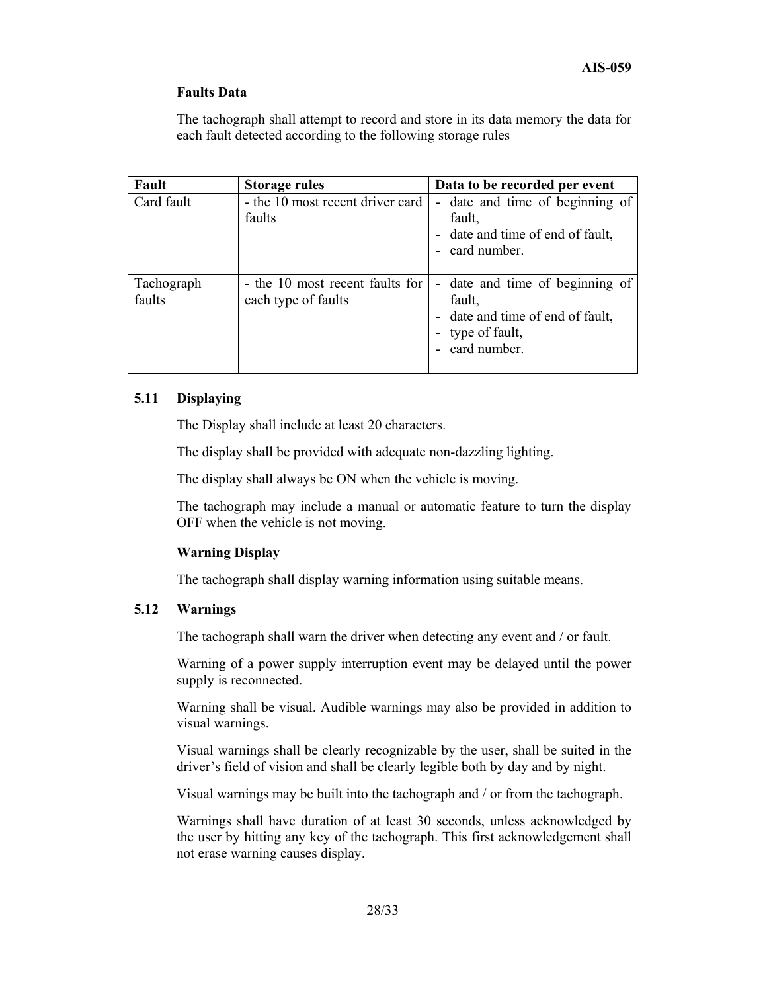#### **Faults Data**

The tachograph shall attempt to record and store in its data memory the data for each fault detected according to the following storage rules

| Fault                | <b>Storage rules</b>                                   | Data to be recorded per event                                                                                   |
|----------------------|--------------------------------------------------------|-----------------------------------------------------------------------------------------------------------------|
| Card fault           | - the 10 most recent driver card<br>faults             | - date and time of beginning of<br>fault,<br>date and time of end of fault,<br>$\blacksquare$<br>card number.   |
| Tachograph<br>faults | - the 10 most recent faults for<br>each type of faults | - date and time of beginning of<br>fault,<br>- date and time of end of fault,<br>type of fault,<br>card number. |

#### **5.11 Displaying**

The Display shall include at least 20 characters.

The display shall be provided with adequate non-dazzling lighting.

The display shall always be ON when the vehicle is moving.

The tachograph may include a manual or automatic feature to turn the display OFF when the vehicle is not moving.

#### **Warning Display**

The tachograph shall display warning information using suitable means.

#### **5.12 Warnings**

The tachograph shall warn the driver when detecting any event and / or fault.

Warning of a power supply interruption event may be delayed until the power supply is reconnected.

Warning shall be visual. Audible warnings may also be provided in addition to visual warnings.

Visual warnings shall be clearly recognizable by the user, shall be suited in the driver's field of vision and shall be clearly legible both by day and by night.

Visual warnings may be built into the tachograph and / or from the tachograph.

Warnings shall have duration of at least 30 seconds, unless acknowledged by the user by hitting any key of the tachograph. This first acknowledgement shall not erase warning causes display.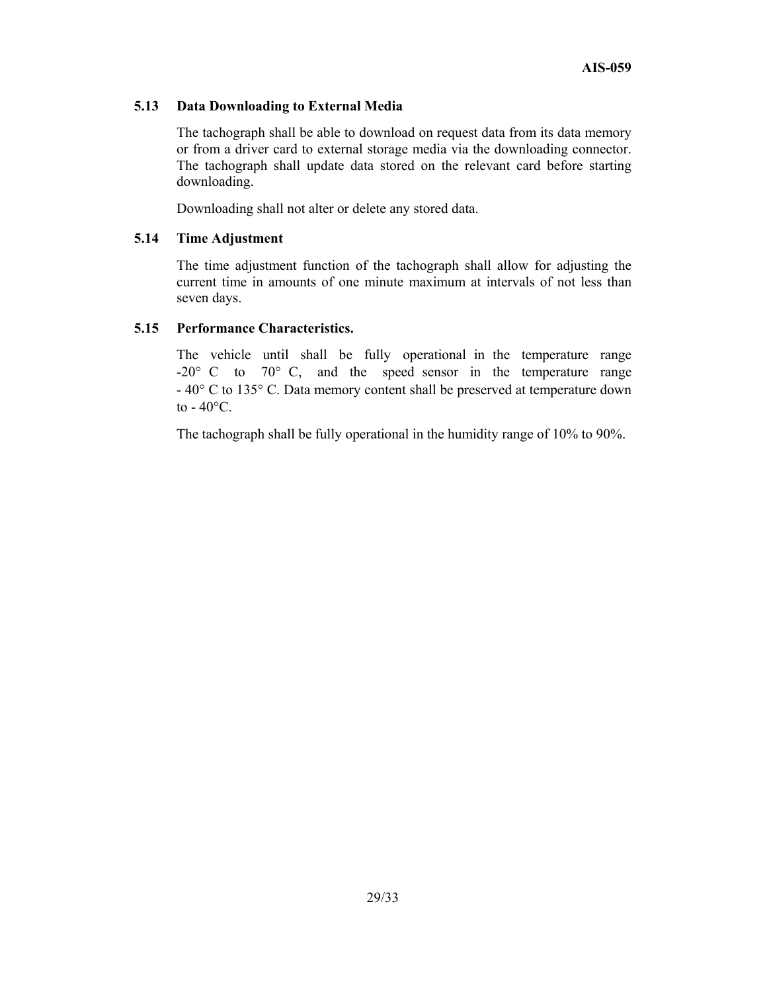#### **5.13 Data Downloading to External Media**

The tachograph shall be able to download on request data from its data memory or from a driver card to external storage media via the downloading connector. The tachograph shall update data stored on the relevant card before starting downloading.

Downloading shall not alter or delete any stored data.

#### **5.14 Time Adjustment**

The time adjustment function of the tachograph shall allow for adjusting the current time in amounts of one minute maximum at intervals of not less than seven days.

#### **5.15 Performance Characteristics.**

The vehicle until shall be fully operational in the temperature range  $-20^{\circ}$  C to  $70^{\circ}$  C, and the speed sensor in the temperature range - 40° C to 135° C. Data memory content shall be preserved at temperature down to  $-40^{\circ}$ C.

The tachograph shall be fully operational in the humidity range of 10% to 90%.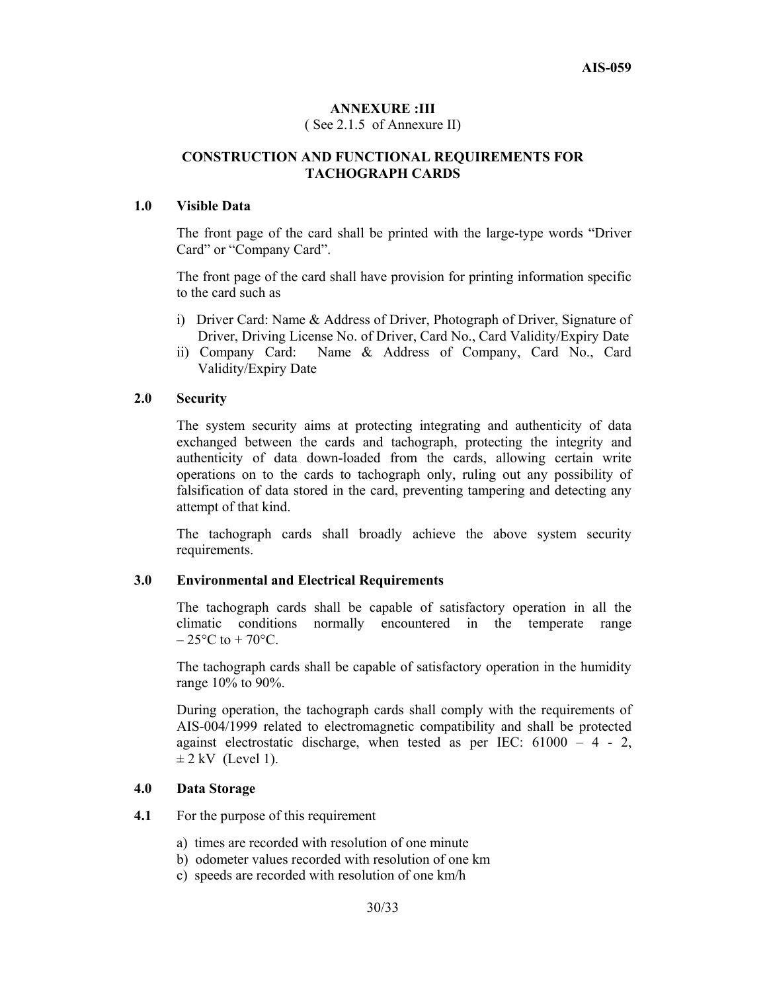#### **ANNEXURE :III**

( See 2.1.5 of Annexure II)

# **CONSTRUCTION AND FUNCTIONAL REQUIREMENTS FOR TACHOGRAPH CARDS**

#### **1.0 Visible Data**

 The front page of the card shall be printed with the large-type words "Driver Card" or "Company Card".

 The front page of the card shall have provision for printing information specific to the card such as

- i) Driver Card: Name & Address of Driver, Photograph of Driver, Signature of Driver, Driving License No. of Driver, Card No., Card Validity/Expiry Date
- ii) Company Card: Name & Address of Company, Card No., Card Validity/Expiry Date

#### **2.0 Security**

 The system security aims at protecting integrating and authenticity of data exchanged between the cards and tachograph, protecting the integrity and authenticity of data down-loaded from the cards, allowing certain write operations on to the cards to tachograph only, ruling out any possibility of falsification of data stored in the card, preventing tampering and detecting any attempt of that kind.

 The tachograph cards shall broadly achieve the above system security requirements.

#### **3.0 Environmental and Electrical Requirements**

 The tachograph cards shall be capable of satisfactory operation in all the climatic conditions normally encountered in the temperate range  $-25\degree$ C to  $+70\degree$ C.

 The tachograph cards shall be capable of satisfactory operation in the humidity range 10% to 90%.

 During operation, the tachograph cards shall comply with the requirements of AIS-004/1999 related to electromagnetic compatibility and shall be protected against electrostatic discharge, when tested as per IEC:  $61000 - 4 - 2$ ,  $\pm$  2 kV (Level 1).

#### **4.0 Data Storage**

**4.1** For the purpose of this requirement

- a) times are recorded with resolution of one minute
- b) odometer values recorded with resolution of one km
- c) speeds are recorded with resolution of one km/h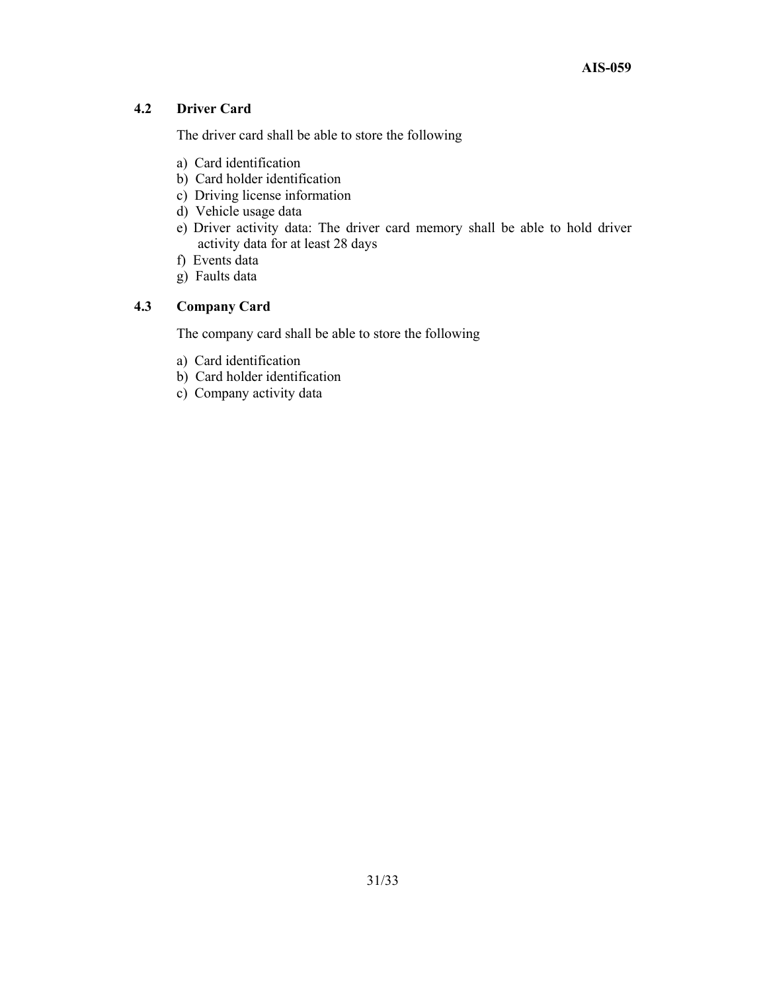# **4.2 Driver Card**

The driver card shall be able to store the following

- a) Card identification
- b) Card holder identification
- c) Driving license information
- d) Vehicle usage data
- e) Driver activity data: The driver card memory shall be able to hold driver activity data for at least 28 days
- f) Events data
- g) Faults data

# **4.3 Company Card**

The company card shall be able to store the following

- a) Card identification
- b) Card holder identification
- c) Company activity data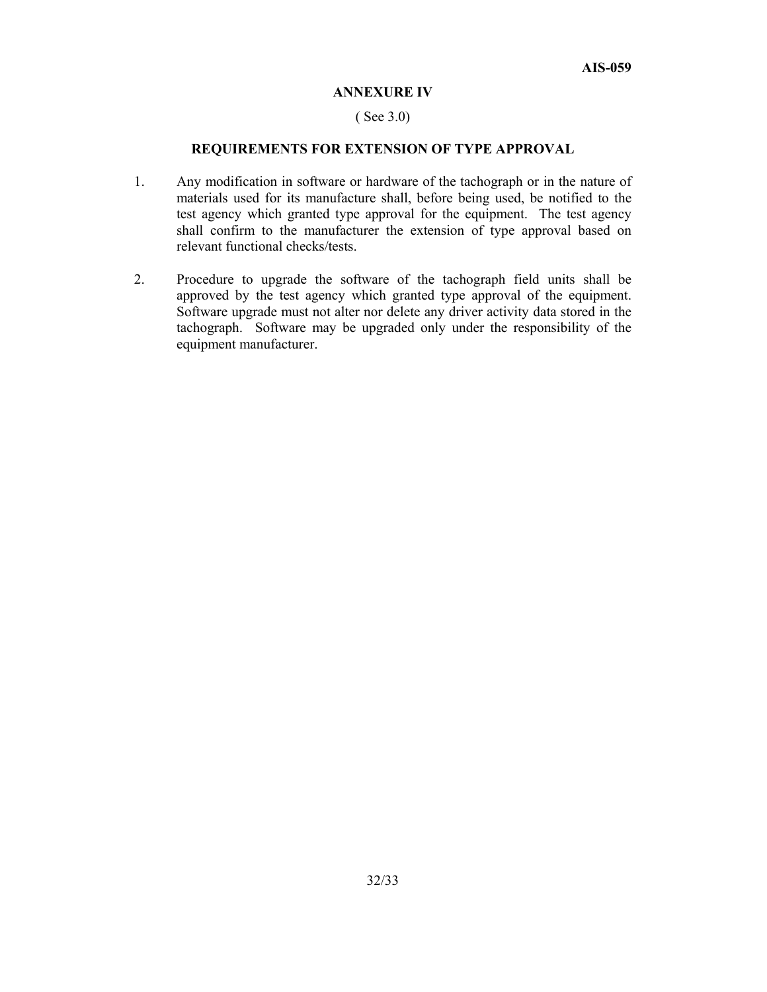#### **ANNEXURE IV**

#### ( See 3.0)

#### **REQUIREMENTS FOR EXTENSION OF TYPE APPROVAL**

- 1. Any modification in software or hardware of the tachograph or in the nature of materials used for its manufacture shall, before being used, be notified to the test agency which granted type approval for the equipment. The test agency shall confirm to the manufacturer the extension of type approval based on relevant functional checks/tests.
- 2. Procedure to upgrade the software of the tachograph field units shall be approved by the test agency which granted type approval of the equipment. Software upgrade must not alter nor delete any driver activity data stored in the tachograph. Software may be upgraded only under the responsibility of the equipment manufacturer.